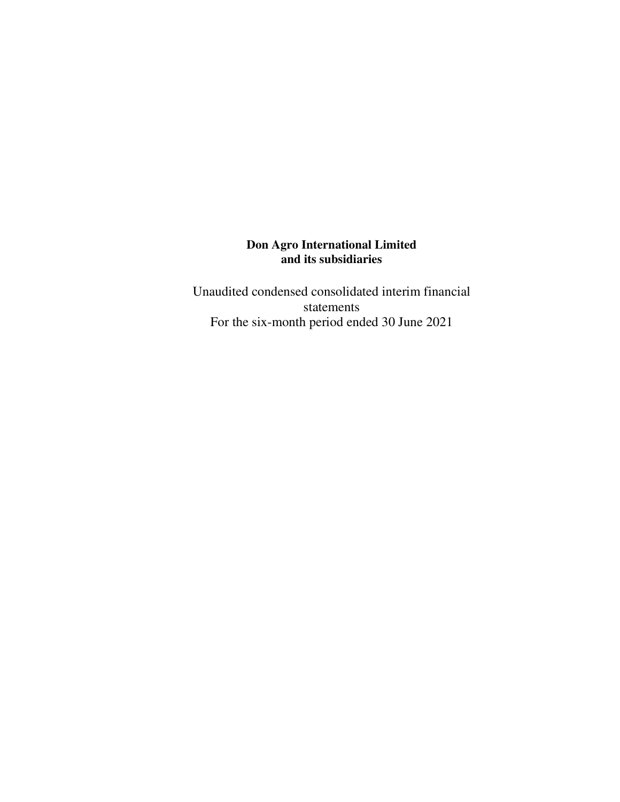Unaudited condensed consolidated interim financial statements For the six-month period ended 30 June 2021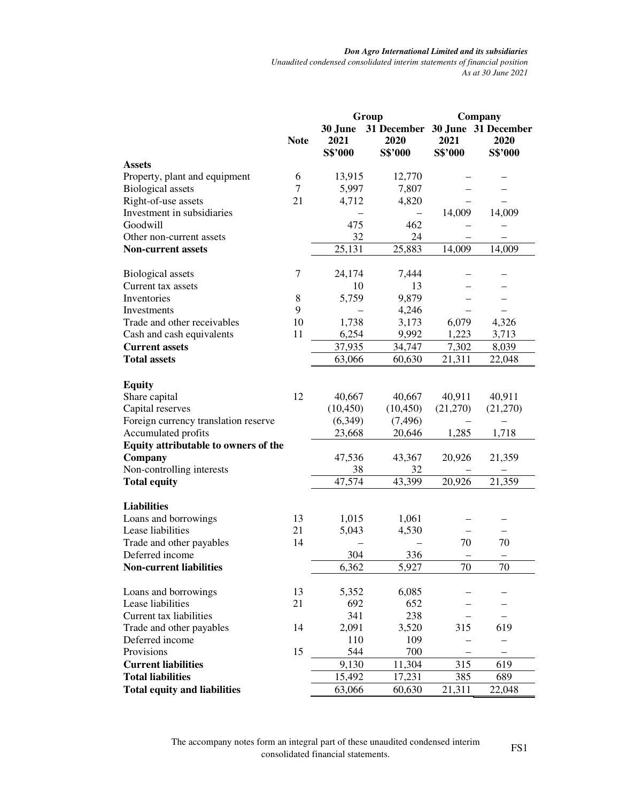*Don Agro International Limited and its subsidiaries Unaudited condensed consolidated interim statements of financial position As at 30 June 2021* 

|                                      |             |                            | Group                                              | Company         |                 |
|--------------------------------------|-------------|----------------------------|----------------------------------------------------|-----------------|-----------------|
|                                      | <b>Note</b> | 30 June<br>2021<br>S\$'000 | 31 December 30 June 31 December<br>2020<br>S\$'000 | 2021<br>S\$'000 | 2020<br>S\$'000 |
| <b>Assets</b>                        |             |                            |                                                    |                 |                 |
| Property, plant and equipment        | 6           | 13,915                     | 12,770                                             |                 |                 |
| <b>Biological</b> assets             | 7           | 5,997                      | 7,807                                              |                 |                 |
| Right-of-use assets                  | 21          | 4,712                      | 4,820                                              |                 |                 |
| Investment in subsidiaries           |             |                            |                                                    | 14,009          | 14,009          |
| Goodwill                             |             | 475                        | 462                                                |                 |                 |
| Other non-current assets             |             | 32                         | 24                                                 |                 |                 |
| <b>Non-current assets</b>            |             | 25,131                     | 25,883                                             | 14,009          | 14,009          |
|                                      |             |                            |                                                    |                 |                 |
| <b>Biological</b> assets             | 7           | 24,174                     | 7,444                                              |                 |                 |
| Current tax assets                   |             | 10                         | 13                                                 |                 |                 |
| Inventories                          | 8           | 5,759                      | 9,879                                              |                 |                 |
| Investments                          | 9           |                            | 4,246                                              |                 |                 |
| Trade and other receivables          | 10          | 1,738                      | 3,173                                              | 6,079           | 4,326           |
| Cash and cash equivalents            | 11          | 6,254                      | 9,992                                              | 1,223           | 3,713           |
| <b>Current assets</b>                |             | 37,935                     | 34,747                                             | 7,302           | 8,039           |
| <b>Total assets</b>                  |             | 63,066                     | 60,630                                             | 21,311          | 22,048          |
|                                      |             |                            |                                                    |                 |                 |
| <b>Equity</b>                        |             |                            |                                                    |                 |                 |
| Share capital                        | 12          | 40,667                     | 40,667                                             | 40,911          | 40,911          |
| Capital reserves                     |             | (10, 450)                  | (10, 450)                                          | (21,270)        | (21,270)        |
| Foreign currency translation reserve |             | (6,349)                    | (7, 496)                                           |                 |                 |
| Accumulated profits                  |             | 23,668                     | 20,646                                             | 1,285           | 1,718           |
| Equity attributable to owners of the |             |                            |                                                    |                 |                 |
| Company                              |             | 47,536                     | 43,367                                             | 20,926          | 21,359          |
| Non-controlling interests            |             | 38                         | 32                                                 |                 |                 |
| <b>Total equity</b>                  |             | 47,574                     | 43,399                                             | 20,926          | 21,359          |
|                                      |             |                            |                                                    |                 |                 |
| <b>Liabilities</b>                   |             |                            |                                                    |                 |                 |
| Loans and borrowings                 | 13          | 1,015                      | 1,061                                              |                 |                 |
| Lease liabilities                    | 21          | 5,043                      | 4,530                                              |                 |                 |
| Trade and other payables             | 14          |                            |                                                    | 70              | 70              |
| Deferred income                      |             | 304                        | 336                                                |                 |                 |
| <b>Non-current liabilities</b>       |             | 6,362                      | 5,927                                              | $70\,$          | $70\,$          |
|                                      |             |                            |                                                    |                 |                 |
| Loans and borrowings                 | 13          | 5,352                      | 6,085                                              |                 |                 |
| Lease liabilities                    | 21          | 692                        | 652                                                |                 |                 |
| Current tax liabilities              |             | 341                        | 238                                                |                 |                 |
| Trade and other payables             | 14          | 2,091                      | 3,520                                              | 315             | 619             |
| Deferred income                      |             | 110                        | 109                                                |                 | —               |
| Provisions                           | 15          | 544                        | 700                                                |                 |                 |
| <b>Current liabilities</b>           |             | 9,130                      | 11,304                                             | 315             | 619             |
| <b>Total liabilities</b>             |             |                            |                                                    |                 |                 |
|                                      |             | 15,492                     | 17,231                                             | 385             | 689             |
| <b>Total equity and liabilities</b>  |             | 63,066                     | 60,630                                             | 21,311          | 22,048          |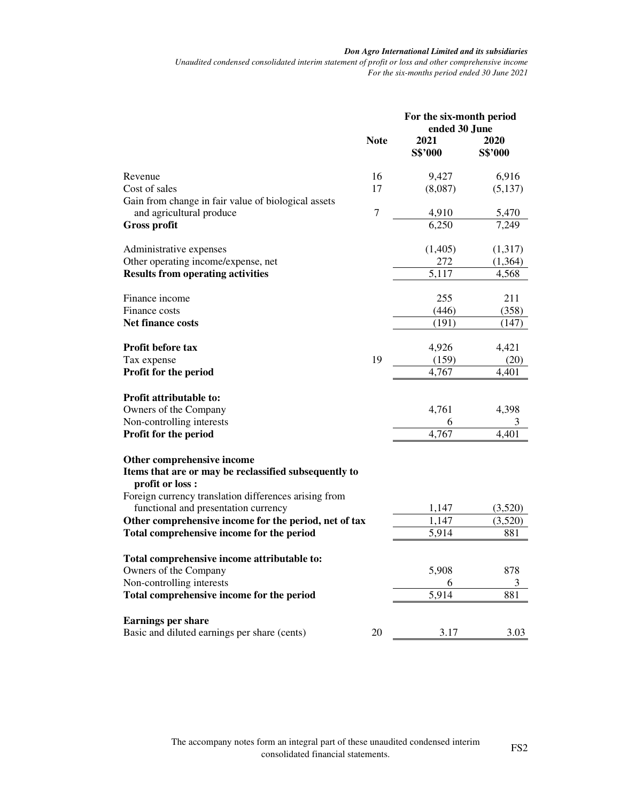*Unaudited condensed consolidated interim statement of profit or loss and other comprehensive income For the six-months period ended 30 June 2021* 

|                                                                                 |             | For the six-month period<br>ended 30 June |                 |  |
|---------------------------------------------------------------------------------|-------------|-------------------------------------------|-----------------|--|
|                                                                                 | <b>Note</b> | 2021<br>S\$'000                           | 2020<br>S\$'000 |  |
| Revenue                                                                         | 16          | 9,427                                     | 6,916           |  |
| Cost of sales                                                                   | 17          | (8,087)                                   | (5,137)         |  |
| Gain from change in fair value of biological assets<br>and agricultural produce | 7           | 4,910                                     | 5,470           |  |
| <b>Gross profit</b>                                                             |             | 6,250                                     | 7,249           |  |
|                                                                                 |             |                                           |                 |  |
| Administrative expenses                                                         |             | (1,405)                                   | (1,317)         |  |
| Other operating income/expense, net                                             |             | 272<br>5,117                              | (1,364)         |  |
| <b>Results from operating activities</b>                                        |             |                                           | 4,568           |  |
| Finance income                                                                  |             | 255                                       | 211             |  |
| Finance costs                                                                   |             | (446)                                     | (358)           |  |
| <b>Net finance costs</b>                                                        |             | (191)                                     | (147)           |  |
| Profit before tax                                                               |             | 4,926                                     | 4,421           |  |
| Tax expense                                                                     | 19          | (159)                                     | (20)            |  |
| Profit for the period                                                           |             | 4,767                                     | 4,401           |  |
| Profit attributable to:                                                         |             |                                           |                 |  |
| Owners of the Company                                                           |             | 4,761                                     | 4,398           |  |
| Non-controlling interests                                                       |             | 6                                         |                 |  |
| Profit for the period                                                           |             | 4,767                                     | 4,401           |  |
| Other comprehensive income                                                      |             |                                           |                 |  |
| Items that are or may be reclassified subsequently to                           |             |                                           |                 |  |
| profit or loss:<br>Foreign currency translation differences arising from        |             |                                           |                 |  |
| functional and presentation currency                                            |             | 1,147                                     | (3,520)         |  |
| Other comprehensive income for the period, net of tax                           |             | 1,147                                     | (3,520)         |  |
| Total comprehensive income for the period                                       |             | 5,914                                     | 881             |  |
|                                                                                 |             |                                           |                 |  |
| Total comprehensive income attributable to:                                     |             |                                           |                 |  |
| Owners of the Company<br>Non-controlling interests                              |             | 5,908<br>6                                | 878<br>3        |  |
| Total comprehensive income for the period                                       |             | 5,914                                     | 881             |  |
|                                                                                 |             |                                           |                 |  |
| <b>Earnings per share</b>                                                       |             |                                           |                 |  |
| Basic and diluted earnings per share (cents)                                    | 20          | 3.17                                      | 3.03            |  |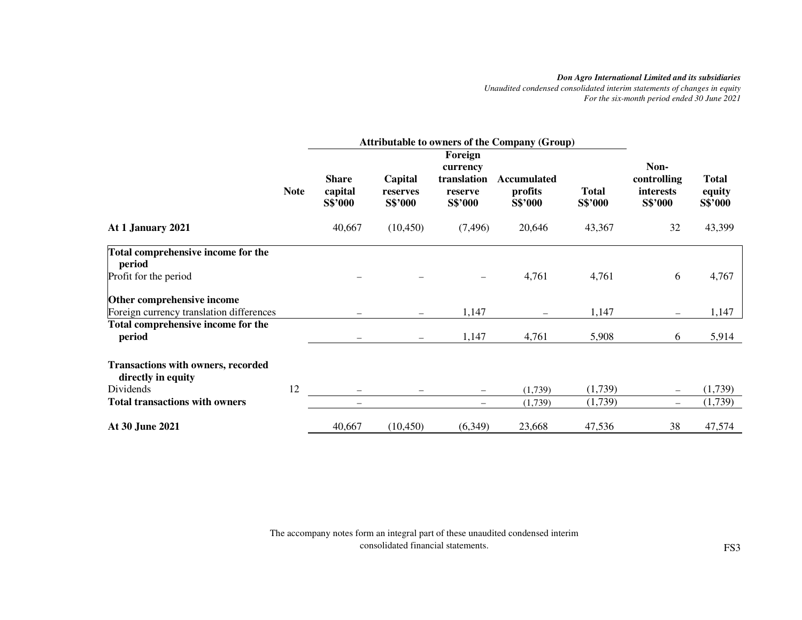*Unaudited condensed consolidated interim statements of changes in equity For the six-month period ended 30 June 2021* 

|                                                                                                                       | <b>Attributable to owners of the Company (Group)</b> |                                    |                                |                                                          |                                          |                         |                                                    |                                   |
|-----------------------------------------------------------------------------------------------------------------------|------------------------------------------------------|------------------------------------|--------------------------------|----------------------------------------------------------|------------------------------------------|-------------------------|----------------------------------------------------|-----------------------------------|
|                                                                                                                       | <b>Note</b>                                          | <b>Share</b><br>capital<br>S\$'000 | Capital<br>reserves<br>S\$'000 | Foreign<br>currency<br>translation<br>reserve<br>S\$'000 | <b>Accumulated</b><br>profits<br>S\$'000 | <b>Total</b><br>S\$'000 | Non-<br>controlling<br><i>interests</i><br>S\$'000 | <b>Total</b><br>equity<br>S\$'000 |
| At 1 January 2021                                                                                                     |                                                      | 40,667                             | (10, 450)                      | (7, 496)                                                 | 20,646                                   | 43,367                  | 32                                                 | 43,399                            |
| Total comprehensive income for the<br>period                                                                          |                                                      |                                    |                                |                                                          |                                          |                         |                                                    |                                   |
| Profit for the period                                                                                                 |                                                      |                                    |                                | $\overline{\phantom{0}}$                                 | 4,761                                    | 4,761                   | 6                                                  | 4,767                             |
| Other comprehensive income<br>Foreign currency translation differences                                                |                                                      |                                    | $\overline{\phantom{0}}$       | 1,147                                                    |                                          | 1,147                   | $\overline{\phantom{0}}$                           | 1,147                             |
| Total comprehensive income for the<br>period                                                                          |                                                      |                                    | $\qquad \qquad -$              | 1,147                                                    | 4,761                                    | 5,908                   | 6                                                  | 5,914                             |
| <b>Transactions with owners, recorded</b><br>directly in equity<br>Dividends<br><b>Total transactions with owners</b> | 12                                                   |                                    |                                | $\qquad \qquad -$                                        | (1,739)<br>(1,739)                       | (1,739)<br>(1,739)      | $\overline{\phantom{0}}$                           | (1,739)<br>(1,739)                |
| At 30 June 2021                                                                                                       |                                                      | 40,667                             | (10, 450)                      | (6, 349)                                                 | 23,668                                   | 47,536                  | 38                                                 | 47,574                            |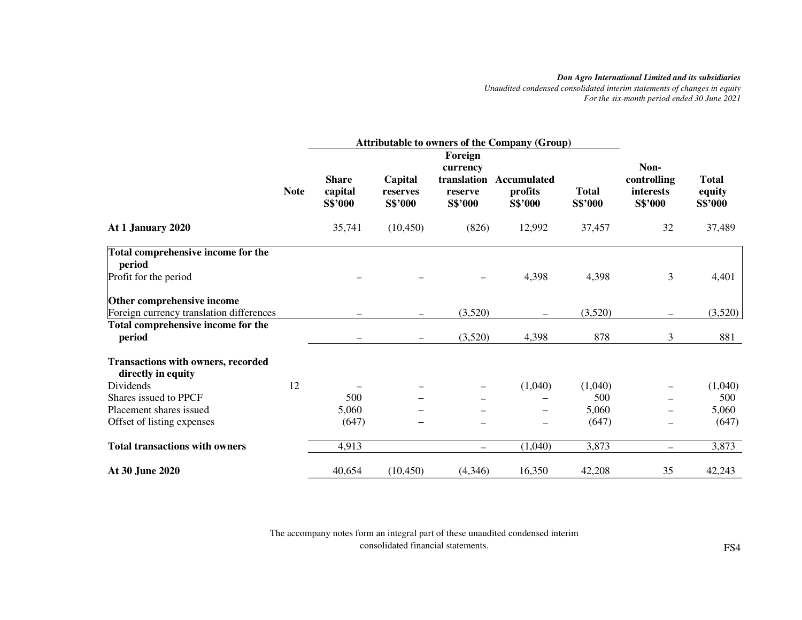*Unaudited condensed consolidated interim statements of changes in equity For the six-month period ended 30 June 2021* 

|                                                                 |             | <b>Attributable to owners of the Company (Group)</b> |                                |                                   |                                   |                         |                                     |                                   |
|-----------------------------------------------------------------|-------------|------------------------------------------------------|--------------------------------|-----------------------------------|-----------------------------------|-------------------------|-------------------------------------|-----------------------------------|
|                                                                 |             |                                                      |                                | Foreign                           |                                   |                         |                                     |                                   |
|                                                                 |             |                                                      |                                | currency                          |                                   |                         | Non-                                |                                   |
|                                                                 | <b>Note</b> | <b>Share</b><br>capital<br>S\$'000                   | Capital<br>reserves<br>S\$'000 | translation<br>reserve<br>S\$'000 | Accumulated<br>profits<br>S\$'000 | <b>Total</b><br>S\$'000 | controlling<br>interests<br>S\$'000 | <b>Total</b><br>equity<br>S\$'000 |
| At 1 January 2020                                               |             | 35,741                                               | (10, 450)                      | (826)                             | 12,992                            | 37,457                  | 32                                  | 37,489                            |
| Total comprehensive income for the<br>period                    |             |                                                      |                                |                                   |                                   |                         |                                     |                                   |
| Profit for the period                                           |             |                                                      |                                |                                   | 4,398                             | 4,398                   | 3                                   | 4,401                             |
| Other comprehensive income                                      |             |                                                      |                                |                                   |                                   |                         |                                     |                                   |
| Foreign currency translation differences                        |             |                                                      | $\overline{\phantom{0}}$       | (3,520)                           |                                   | (3,520)                 | $\overline{\phantom{m}}$            | (3,520)                           |
| Total comprehensive income for the                              |             |                                                      |                                |                                   |                                   |                         |                                     |                                   |
| period                                                          |             |                                                      |                                | (3,520)                           | 4,398                             | 878                     | 3                                   | 881                               |
| <b>Transactions with owners, recorded</b><br>directly in equity |             |                                                      |                                |                                   |                                   |                         |                                     |                                   |
| Dividends                                                       | 12          |                                                      |                                |                                   | (1,040)                           | (1,040)                 | $\overline{\phantom{0}}$            | (1,040)                           |
| Shares issued to PPCF                                           |             | 500                                                  |                                |                                   |                                   | 500                     |                                     | 500                               |
| Placement shares issued                                         |             | 5,060                                                |                                |                                   |                                   | 5,060                   |                                     | 5,060                             |
| Offset of listing expenses                                      |             | (647)                                                | $\overline{\phantom{0}}$       | $\qquad \qquad$                   | $\qquad \qquad -$                 | (647)                   | $\overline{\phantom{0}}$            | (647)                             |
| <b>Total transactions with owners</b>                           |             | 4,913                                                |                                | $\equiv$                          | (1,040)                           | 3,873                   | $\equiv$                            | 3,873                             |
| At 30 June 2020                                                 |             | 40,654                                               | (10, 450)                      | (4,346)                           | 16,350                            | 42,208                  | 35                                  | 42,243                            |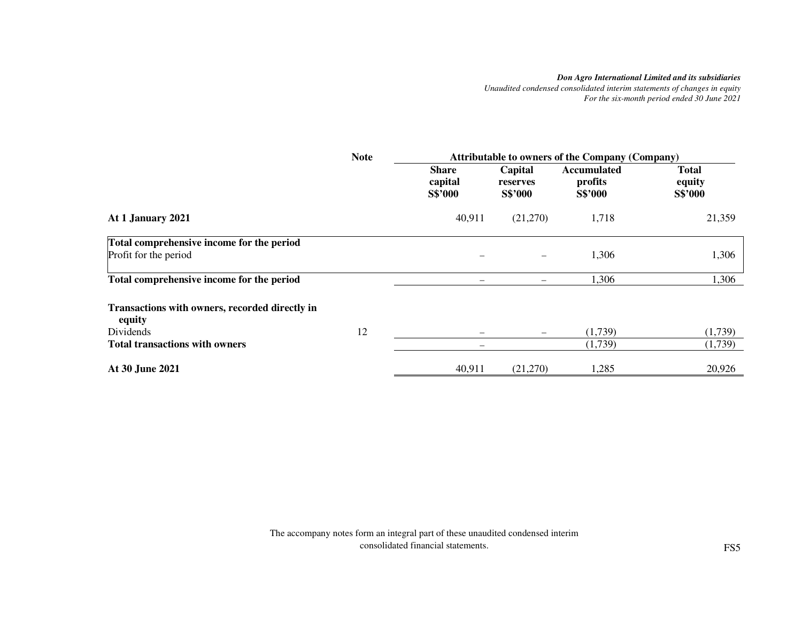*Unaudited condensed consolidated interim statements of changes in equity For the six-month period ended 30 June 2021* 

|                                                          | <b>Note</b> | <b>Attributable to owners of the Company (Company)</b> |                                |                                          |                                   |
|----------------------------------------------------------|-------------|--------------------------------------------------------|--------------------------------|------------------------------------------|-----------------------------------|
|                                                          |             | <b>Share</b><br>capital<br>S\$'000                     | Capital<br>reserves<br>S\$'000 | <b>Accumulated</b><br>profits<br>S\$'000 | <b>Total</b><br>equity<br>S\$'000 |
| At 1 January 2021                                        |             | 40,911                                                 | (21,270)                       | 1,718                                    | 21,359                            |
| Total comprehensive income for the period                |             |                                                        |                                |                                          |                                   |
| Profit for the period                                    |             |                                                        |                                | 1,306                                    | 1,306                             |
| Total comprehensive income for the period                |             |                                                        |                                | 1,306                                    | 1,306                             |
| Transactions with owners, recorded directly in<br>equity |             |                                                        |                                |                                          |                                   |
| Dividends                                                | 12          |                                                        |                                | (1,739)                                  | (1,739)                           |
| <b>Total transactions with owners</b>                    |             |                                                        |                                | (1,739)                                  | (1,739)                           |
| At 30 June 2021                                          |             | 40,911                                                 | (21,270)                       | 1,285                                    | 20,926                            |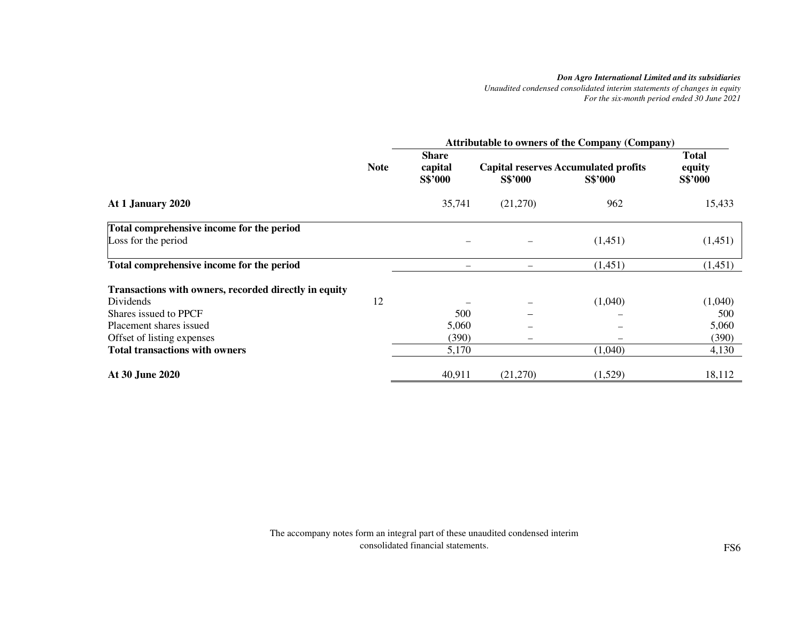*Unaudited condensed consolidated interim statements of changes in equity For the six-month period ended 30 June 2021* 

|                                                       |             | <b>Attributable to owners of the Company (Company)</b> |                |                                                               |                                   |  |
|-------------------------------------------------------|-------------|--------------------------------------------------------|----------------|---------------------------------------------------------------|-----------------------------------|--|
|                                                       | <b>Note</b> | <b>Share</b><br>capital<br>S\$'000                     | <b>S\$'000</b> | <b>Capital reserves Accumulated profits</b><br><b>S\$'000</b> | <b>Total</b><br>equity<br>S\$'000 |  |
| At 1 January 2020                                     |             | 35,741                                                 | (21,270)       | 962                                                           | 15,433                            |  |
| Total comprehensive income for the period             |             |                                                        |                |                                                               |                                   |  |
| Loss for the period                                   |             |                                                        |                | (1,451)                                                       | (1,451)                           |  |
| Total comprehensive income for the period             |             |                                                        |                | (1,451)                                                       | (1,451)                           |  |
| Transactions with owners, recorded directly in equity |             |                                                        |                |                                                               |                                   |  |
| Dividends                                             | 12          |                                                        |                | (1,040)                                                       | (1,040)                           |  |
| Shares issued to PPCF                                 |             | 500                                                    |                |                                                               | 500                               |  |
| Placement shares issued                               |             | 5,060                                                  |                |                                                               | 5,060                             |  |
| Offset of listing expenses                            |             | (390)                                                  |                |                                                               | (390)                             |  |
| <b>Total transactions with owners</b>                 |             | 5,170                                                  |                | (1,040)                                                       | 4,130                             |  |
| At 30 June 2020                                       |             | 40,911                                                 | (21,270)       | (1,529)                                                       | 18,112                            |  |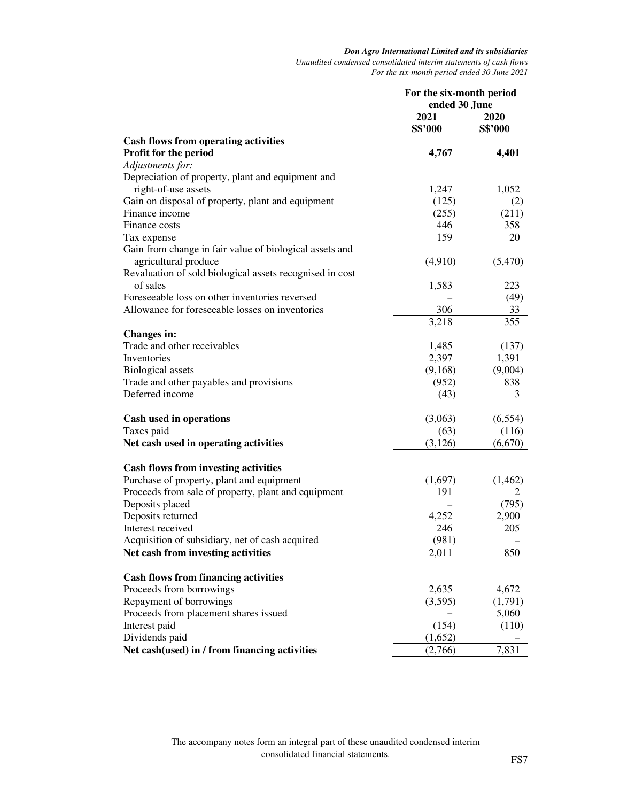*Unaudited condensed consolidated interim statements of cash flows For the six-month period ended 30 June 2021* 

|                                                                                          | For the six-month period<br>ended 30 June |                 |
|------------------------------------------------------------------------------------------|-------------------------------------------|-----------------|
|                                                                                          | 2021<br><b>S\$'000</b>                    | 2020<br>S\$'000 |
| <b>Cash flows from operating activities</b>                                              |                                           |                 |
| Profit for the period                                                                    | 4,767                                     | 4,401           |
| Adjustments for:                                                                         |                                           |                 |
| Depreciation of property, plant and equipment and                                        |                                           |                 |
| right-of-use assets                                                                      | 1,247                                     | 1,052           |
| Gain on disposal of property, plant and equipment                                        | (125)                                     | (2)             |
| Finance income                                                                           | (255)                                     | (211)           |
| Finance costs                                                                            | 446                                       | 358             |
| Tax expense                                                                              | 159                                       | 20              |
| Gain from change in fair value of biological assets and                                  |                                           |                 |
| agricultural produce                                                                     | (4,910)                                   | (5,470)         |
| Revaluation of sold biological assets recognised in cost                                 |                                           |                 |
| of sales                                                                                 | 1,583                                     | 223             |
| Foreseeable loss on other inventories reversed                                           |                                           | (49)            |
| Allowance for foreseeable losses on inventories                                          | 306                                       | 33              |
|                                                                                          | 3,218                                     | 355             |
| <b>Changes in:</b><br>Trade and other receivables                                        | 1,485                                     | (137)           |
| Inventories                                                                              | 2,397                                     | 1,391           |
| <b>Biological</b> assets                                                                 | (9,168)                                   | (9,004)         |
| Trade and other payables and provisions                                                  | (952)                                     | 838             |
| Deferred income                                                                          | (43)                                      | 3               |
|                                                                                          |                                           |                 |
| Cash used in operations                                                                  | (3,063)                                   | (6, 554)        |
| Taxes paid                                                                               | (63)                                      | (116)           |
| Net cash used in operating activities                                                    | (3,126)                                   | (6,670)         |
|                                                                                          |                                           |                 |
| <b>Cash flows from investing activities</b><br>Purchase of property, plant and equipment | (1,697)                                   | (1,462)         |
| Proceeds from sale of property, plant and equipment                                      | 191                                       | 2               |
| Deposits placed                                                                          |                                           | (795)           |
| Deposits returned                                                                        | 4,252                                     | 2,900           |
| Interest received                                                                        | 246                                       | 205             |
| Acquisition of subsidiary, net of cash acquired                                          | (981)                                     |                 |
| Net cash from investing activities                                                       | 2,011                                     | 850             |
|                                                                                          |                                           |                 |
| <b>Cash flows from financing activities</b>                                              |                                           |                 |
| Proceeds from borrowings                                                                 | 2,635                                     | 4,672           |
| Repayment of borrowings                                                                  | (3,595)                                   | (1,791)         |
| Proceeds from placement shares issued                                                    |                                           | 5,060           |
| Interest paid                                                                            | (154)                                     | (110)           |
| Dividends paid                                                                           | (1,652)                                   |                 |
| Net cash(used) in / from financing activities                                            | (2,766)                                   | 7,831           |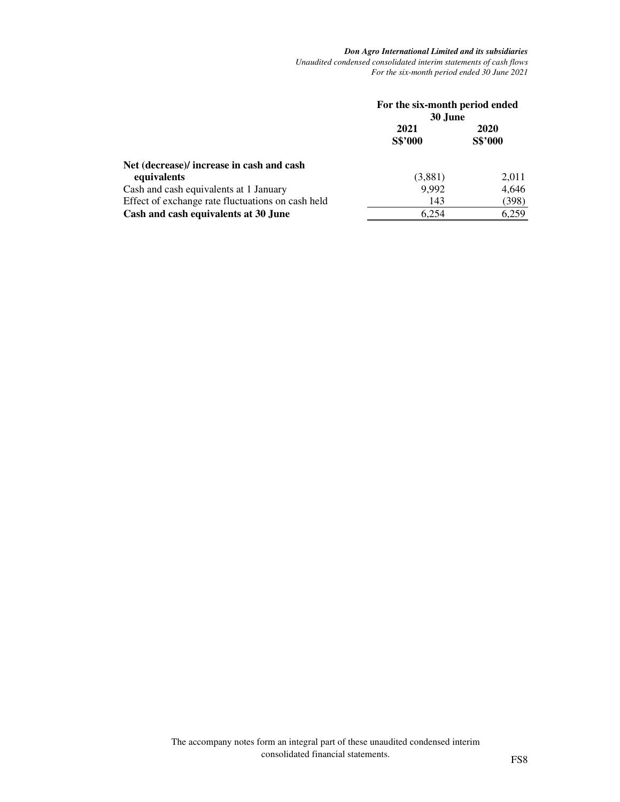*Don Agro International Limited and its subsidiaries Unaudited condensed consolidated interim statements of cash flows For the six-month period ended 30 June 2021* 

|                                                          | For the six-month period ended<br>30 June |                 |  |
|----------------------------------------------------------|-------------------------------------------|-----------------|--|
|                                                          | 2021<br>S\$'000                           | 2020<br>S\$'000 |  |
| Net (decrease)/ increase in cash and cash<br>equivalents | (3,881)                                   | 2,011           |  |
| Cash and cash equivalents at 1 January                   | 9,992                                     | 4,646           |  |
| Effect of exchange rate fluctuations on cash held        | 143                                       | (398)           |  |
| Cash and cash equivalents at 30 June                     | 6.254                                     | 6,259           |  |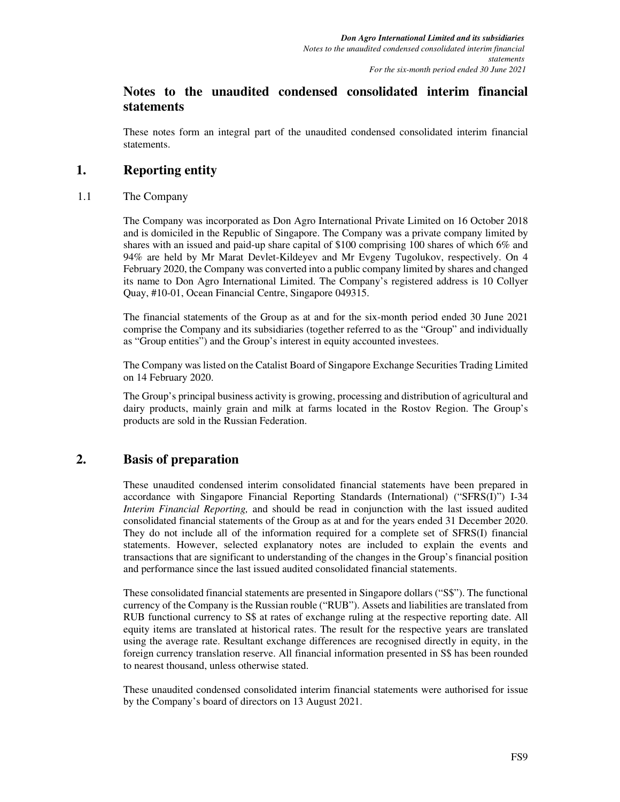# **Notes to the unaudited condensed consolidated interim financial statements**

These notes form an integral part of the unaudited condensed consolidated interim financial statements.

# **1. Reporting entity**

### 1.1 The Company

The Company was incorporated as Don Agro International Private Limited on 16 October 2018 and is domiciled in the Republic of Singapore. The Company was a private company limited by shares with an issued and paid-up share capital of \$100 comprising 100 shares of which 6% and 94% are held by Mr Marat Devlet-Kildeyev and Mr Evgeny Tugolukov, respectively. On 4 February 2020, the Company was converted into a public company limited by shares and changed its name to Don Agro International Limited. The Company's registered address is 10 Collyer Quay, #10-01, Ocean Financial Centre, Singapore 049315.

The financial statements of the Group as at and for the six-month period ended 30 June 2021 comprise the Company and its subsidiaries (together referred to as the "Group" and individually as "Group entities") and the Group's interest in equity accounted investees.

The Company was listed on the Catalist Board of Singapore Exchange Securities Trading Limited on 14 February 2020.

The Group's principal business activity is growing, processing and distribution of agricultural and dairy products, mainly grain and milk at farms located in the Rostov Region. The Group's products are sold in the Russian Federation.

# **2. Basis of preparation**

These unaudited condensed interim consolidated financial statements have been prepared in accordance with Singapore Financial Reporting Standards (International) ("SFRS(I)") I-34 *Interim Financial Reporting,* and should be read in conjunction with the last issued audited consolidated financial statements of the Group as at and for the years ended 31 December 2020. They do not include all of the information required for a complete set of SFRS(I) financial statements. However, selected explanatory notes are included to explain the events and transactions that are significant to understanding of the changes in the Group's financial position and performance since the last issued audited consolidated financial statements.

These consolidated financial statements are presented in Singapore dollars ("S\$"). The functional currency of the Company is the Russian rouble ("RUB"). Assets and liabilities are translated from RUB functional currency to S\$ at rates of exchange ruling at the respective reporting date. All equity items are translated at historical rates. The result for the respective years are translated using the average rate. Resultant exchange differences are recognised directly in equity, in the foreign currency translation reserve. All financial information presented in S\$ has been rounded to nearest thousand, unless otherwise stated.

These unaudited condensed consolidated interim financial statements were authorised for issue by the Company's board of directors on 13 August 2021.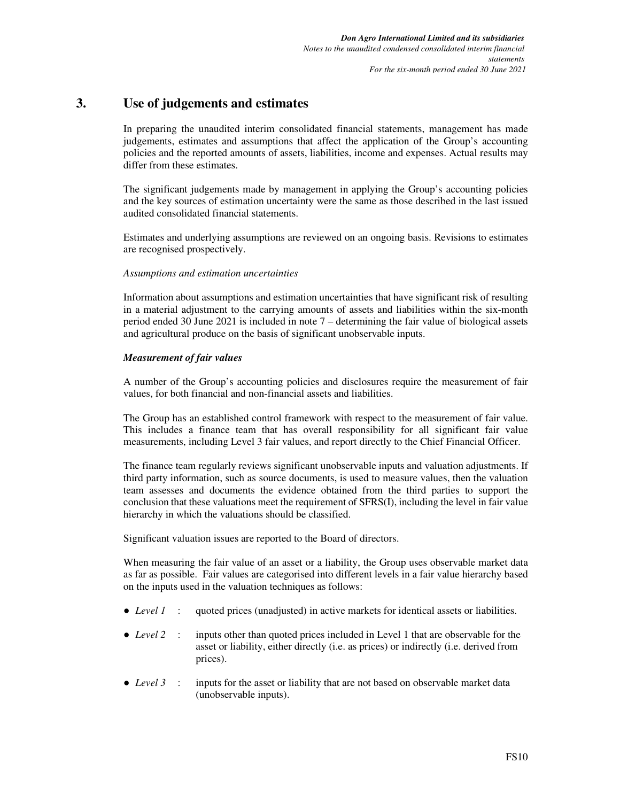# **3. Use of judgements and estimates**

In preparing the unaudited interim consolidated financial statements, management has made judgements, estimates and assumptions that affect the application of the Group's accounting policies and the reported amounts of assets, liabilities, income and expenses. Actual results may differ from these estimates.

The significant judgements made by management in applying the Group's accounting policies and the key sources of estimation uncertainty were the same as those described in the last issued audited consolidated financial statements.

Estimates and underlying assumptions are reviewed on an ongoing basis. Revisions to estimates are recognised prospectively.

#### *Assumptions and estimation uncertainties*

Information about assumptions and estimation uncertainties that have significant risk of resulting in a material adjustment to the carrying amounts of assets and liabilities within the six-month period ended 30 June 2021 is included in note 7 – determining the fair value of biological assets and agricultural produce on the basis of significant unobservable inputs.

#### *Measurement of fair values*

A number of the Group's accounting policies and disclosures require the measurement of fair values, for both financial and non-financial assets and liabilities.

The Group has an established control framework with respect to the measurement of fair value. This includes a finance team that has overall responsibility for all significant fair value measurements, including Level 3 fair values, and report directly to the Chief Financial Officer.

The finance team regularly reviews significant unobservable inputs and valuation adjustments. If third party information, such as source documents, is used to measure values, then the valuation team assesses and documents the evidence obtained from the third parties to support the conclusion that these valuations meet the requirement of SFRS(I), including the level in fair value hierarchy in which the valuations should be classified.

Significant valuation issues are reported to the Board of directors.

When measuring the fair value of an asset or a liability, the Group uses observable market data as far as possible. Fair values are categorised into different levels in a fair value hierarchy based on the inputs used in the valuation techniques as follows:

- *Level 1* : quoted prices (unadjusted) in active markets for identical assets or liabilities.
- *Level* 2 : inputs other than quoted prices included in Level 1 that are observable for the asset or liability, either directly (i.e. as prices) or indirectly (i.e. derived from prices).
- *Level 3* : inputs for the asset or liability that are not based on observable market data (unobservable inputs).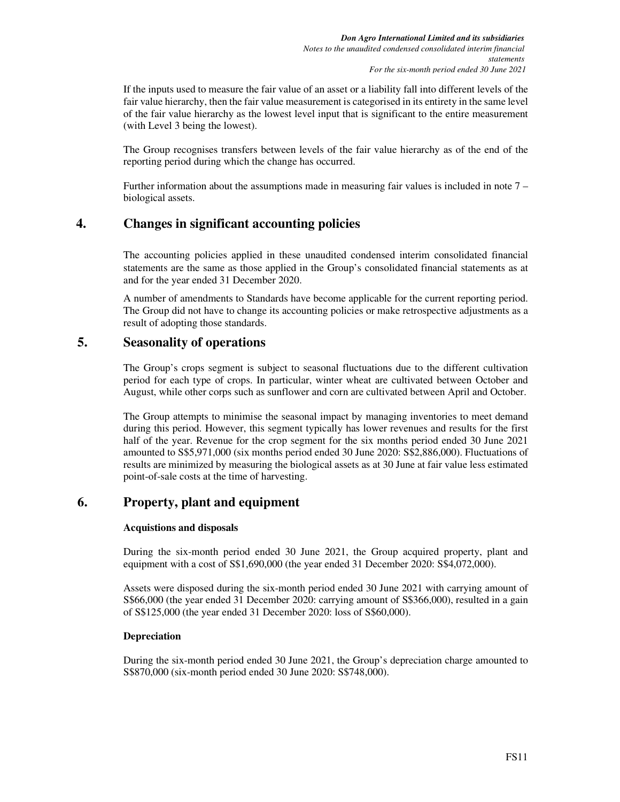If the inputs used to measure the fair value of an asset or a liability fall into different levels of the fair value hierarchy, then the fair value measurement is categorised in its entirety in the same level of the fair value hierarchy as the lowest level input that is significant to the entire measurement (with Level 3 being the lowest).

The Group recognises transfers between levels of the fair value hierarchy as of the end of the reporting period during which the change has occurred.

Further information about the assumptions made in measuring fair values is included in note 7 – biological assets.

# **4. Changes in significant accounting policies**

The accounting policies applied in these unaudited condensed interim consolidated financial statements are the same as those applied in the Group's consolidated financial statements as at and for the year ended 31 December 2020.

A number of amendments to Standards have become applicable for the current reporting period. The Group did not have to change its accounting policies or make retrospective adjustments as a result of adopting those standards.

## **5. Seasonality of operations**

The Group's crops segment is subject to seasonal fluctuations due to the different cultivation period for each type of crops. In particular, winter wheat are cultivated between October and August, while other corps such as sunflower and corn are cultivated between April and October.

The Group attempts to minimise the seasonal impact by managing inventories to meet demand during this period. However, this segment typically has lower revenues and results for the first half of the year. Revenue for the crop segment for the six months period ended 30 June 2021 amounted to S\$5,971,000 (siх months period ended 30 June 2020: S\$2,886,000). Fluctuations of results are minimized by measuring the biological assets as at 30 June at fair value less estimated point-of-sale costs at the time of harvesting.

## **6. Property, plant and equipment**

#### **Acquistions and disposals**

During the six-month period ended 30 June 2021, the Group acquired property, plant and equipment with a cost of S\$1,690,000 (the year ended 31 December 2020: S\$4,072,000).

Assets were disposed during the six-month period ended 30 June 2021 with carrying amount of S\$66,000 (the year ended 31 December 2020: carrying amount of S\$366,000), resulted in a gain of S\$125,000 (the year ended 31 December 2020: loss of S\$60,000).

#### **Depreciation**

During the six-month period ended 30 June 2021, the Group's depreciation charge amounted to S\$870,000 (six-month period ended 30 June 2020: S\$748,000).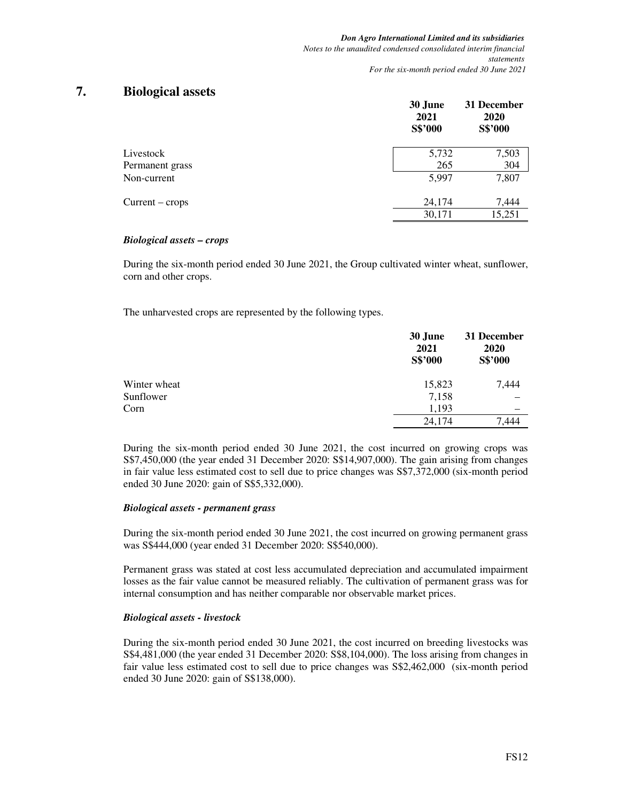## **7. Biological assets**

|                   | 30 June<br>2021<br>S\$'000 | 31 December<br>2020<br>S\$'000 |
|-------------------|----------------------------|--------------------------------|
| Livestock         | 5,732                      | 7,503                          |
| Permanent grass   | 265                        | 304                            |
| Non-current       | 5,997                      | 7,807                          |
| $Current - crops$ | 24,174                     | 7,444                          |
|                   | 30,171                     | 15,251                         |
|                   |                            |                                |

#### *Biological assets – crops*

During the six-month period ended 30 June 2021, the Group cultivated winter wheat, sunflower, corn and other crops.

The unharvested crops are represented by the following types.

|              | 30 June<br>2021<br>S\$'000 | 31 December<br>2020<br>S\$'000 |
|--------------|----------------------------|--------------------------------|
| Winter wheat | 15,823                     | 7,444                          |
| Sunflower    | 7,158                      |                                |
| Corn         | 1,193                      |                                |
|              | 24,174                     | .444                           |

During the six-month period ended 30 June 2021, the cost incurred on growing crops was S\$7,450,000 (the year ended 31 December 2020: S\$14,907,000). The gain arising from changes in fair value less estimated cost to sell due to price changes was  $$\$7,372,000$  (six-month period ended 30 June 2020: gain of S\$5,332,000).

#### *Biological assets - permanent grass*

During the six-month period ended 30 June 2021, the cost incurred on growing permanent grass was S\$444,000 (year ended 31 December 2020: S\$540,000).

Permanent grass was stated at cost less accumulated depreciation and accumulated impairment losses as the fair value cannot be measured reliably. The cultivation of permanent grass was for internal consumption and has neither comparable nor observable market prices.

#### *Biological assets - livestock*

During the six-month period ended 30 June 2021, the cost incurred on breeding livestocks was S\$4,481,000 (the year ended 31 December 2020: S\$8,104,000). The loss arising from changes in fair value less estimated cost to sell due to price changes was  $$\$2,462,000$  (six-month period ended 30 June 2020: gain of S\$138,000).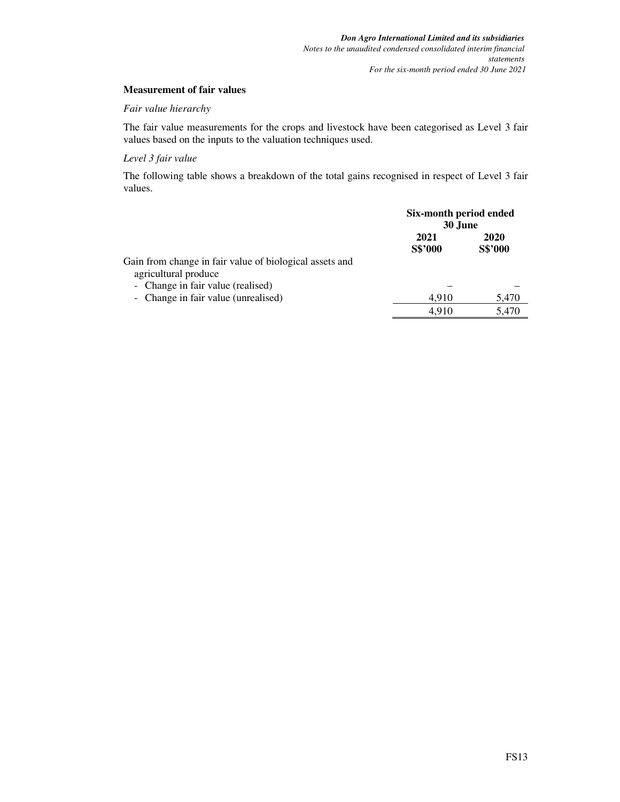#### **Measurement of fair values**

#### *Fair value hierarchy*

The fair value measurements for the crops and livestock have been categorised as Level 3 fair values based on the inputs to the valuation techniques used.

#### *Level 3 fair value*

The following table shows a breakdown of the total gains recognised in respect of Level 3 fair values.

|                                                                                                                      | Six-month period ended<br>30 June |                        |
|----------------------------------------------------------------------------------------------------------------------|-----------------------------------|------------------------|
|                                                                                                                      | 2021<br>S\$'000                   | 2020<br><b>S\$'000</b> |
| Gain from change in fair value of biological assets and<br>agricultural produce<br>- Change in fair value (realised) |                                   |                        |
| - Change in fair value (unrealised)                                                                                  | 4.910<br>4.910                    | 5,470<br>5,470         |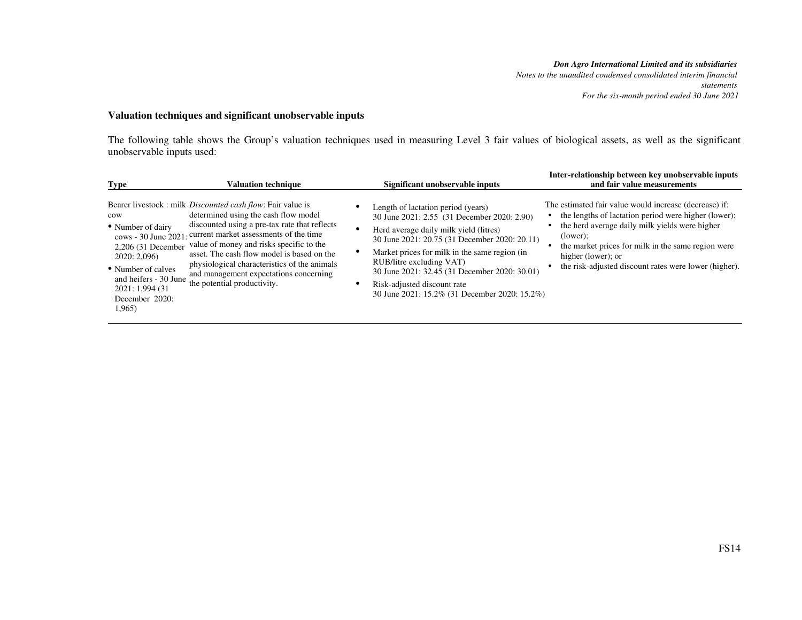*Notes to the unaudited condensed consolidated interim financial statements For the six-month period ended 30 June 2021*

## **Valuation techniques and significant unobservable inputs**

The following table shows the Group's valuation techniques used in measuring Level 3 fair values of biological assets, as well as the significant unobservable inputs used:

| <b>Type</b>                                                                                                                                                 | <b>Valuation technique</b>                                                                                                                                                                                                                                                                                                                                                                                                                     | Significant unobservable inputs                                                                                                                                                                                                                                                                                                                                                            | Inter-relationship between key unobservable inputs<br>and fair value measurements                                                                                                                                                                                                                                         |
|-------------------------------------------------------------------------------------------------------------------------------------------------------------|------------------------------------------------------------------------------------------------------------------------------------------------------------------------------------------------------------------------------------------------------------------------------------------------------------------------------------------------------------------------------------------------------------------------------------------------|--------------------------------------------------------------------------------------------------------------------------------------------------------------------------------------------------------------------------------------------------------------------------------------------------------------------------------------------------------------------------------------------|---------------------------------------------------------------------------------------------------------------------------------------------------------------------------------------------------------------------------------------------------------------------------------------------------------------------------|
| cow<br>• Number of dairy<br>2,206 (31 December<br>2020:2,096<br>• Number of calves<br>and heifers - 30 June<br>2021: 1,994 (31)<br>December 2020:<br>1,965) | Bearer livestock : milk <i>Discounted cash flow</i> : Fair value is<br>determined using the cash flow model<br>discounted using a pre-tax rate that reflects<br>cows - 30 June 2021: current market assessments of the time<br>value of money and risks specific to the<br>asset. The cash flow model is based on the<br>physiological characteristics of the animals<br>and management expectations concerning<br>the potential productivity. | Length of lactation period (years)<br>30 June 2021: 2.55 (31 December 2020: 2.90)<br>Herd average daily milk yield (litres)<br>30 June 2021: 20.75 (31 December 2020: 20.11)<br>Market prices for milk in the same region (in<br>RUB/litre excluding VAT)<br>30 June 2021: 32.45 (31 December 2020: 30.01)<br>Risk-adjusted discount rate<br>30 June 2021: 15.2% (31 December 2020: 15.2%) | The estimated fair value would increase (decrease) if:<br>the lengths of lactation period were higher (lower);<br>the herd average daily milk yields were higher<br>$\text{(lower)}$<br>the market prices for milk in the same region were<br>higher (lower); or<br>the risk-adjusted discount rates were lower (higher). |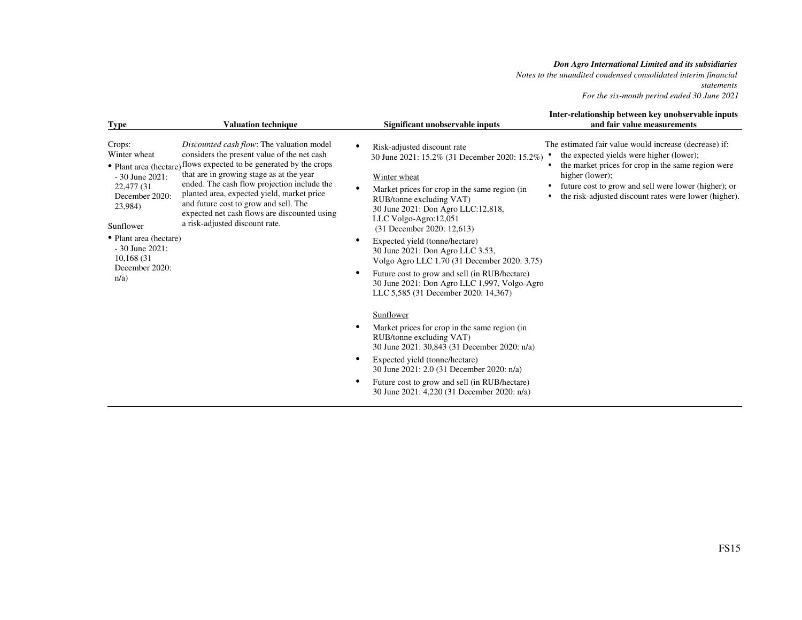*Notes to the unaudited condensed consolidated interim financial statements For the six-month period ended 30 June 2021*

| <b>Type</b>                                                                                                                                                                                   | <b>Valuation technique</b>                                                                                                                                                                                                                                                                                                                                                                                                         | Significant unobservable inputs                                                                                                                                                                                                                                                                                                                                                                                                                                                                                                                              | Inter-relationship between key unobservable inputs<br>and fair value measurements                                                                                                                                                                                                            |
|-----------------------------------------------------------------------------------------------------------------------------------------------------------------------------------------------|------------------------------------------------------------------------------------------------------------------------------------------------------------------------------------------------------------------------------------------------------------------------------------------------------------------------------------------------------------------------------------------------------------------------------------|--------------------------------------------------------------------------------------------------------------------------------------------------------------------------------------------------------------------------------------------------------------------------------------------------------------------------------------------------------------------------------------------------------------------------------------------------------------------------------------------------------------------------------------------------------------|----------------------------------------------------------------------------------------------------------------------------------------------------------------------------------------------------------------------------------------------------------------------------------------------|
| Crops:<br>Winter wheat<br>$-30$ June 2021:<br>22,477 (31)<br>December 2020:<br>23,984)<br>Sunflower<br>• Plant area (hectare)<br>$-30$ June 2021:<br>10,168 (31)<br>December 2020:<br>$n/a$ ) | Discounted cash flow: The valuation model<br>considers the present value of the net cash<br>• Plant area (hectare) flows expected to be generated by the crops<br>that are in growing stage as at the year<br>ended. The cash flow projection include the<br>planted area, expected yield, market price<br>and future cost to grow and sell. The<br>expected net cash flows are discounted using<br>a risk-adjusted discount rate. | Risk-adjusted discount rate<br>$\bullet$<br>30 June 2021: 15.2% (31 December 2020: 15.2%)<br>Winter wheat<br>Market prices for crop in the same region (in<br>RUB/tonne excluding VAT)<br>30 June 2021: Don Agro LLC:12,818,<br>LLC Volgo-Agro:12,051<br>(31 December 2020: 12,613)<br>Expected yield (tonne/hectare)<br>٠<br>30 June 2021: Don Agro LLC 3.53,<br>Volgo Agro LLC 1.70 (31 December 2020: 3.75)<br>Future cost to grow and sell (in RUB/hectare)<br>٠<br>30 June 2021: Don Agro LLC 1,997, Volgo-Agro<br>LLC 5,585 (31 December 2020: 14,367) | The estimated fair value would increase (decrease) if:<br>the expected yields were higher (lower);<br>the market prices for crop in the same region were<br>higher (lower);<br>future cost to grow and sell were lower (higher); or<br>the risk-adjusted discount rates were lower (higher). |
|                                                                                                                                                                                               |                                                                                                                                                                                                                                                                                                                                                                                                                                    | Sunflower<br>Market prices for crop in the same region (in<br>RUB/tonne excluding VAT)<br>30 June 2021: 30,843 (31 December 2020: n/a)<br>Expected yield (tonne/hectare)<br>$\bullet$<br>30 June 2021: 2.0 (31 December 2020: n/a)<br>Future cost to grow and sell (in RUB/hectare)<br>٠<br>30 June 2021: 4,220 (31 December 2020: n/a)                                                                                                                                                                                                                      |                                                                                                                                                                                                                                                                                              |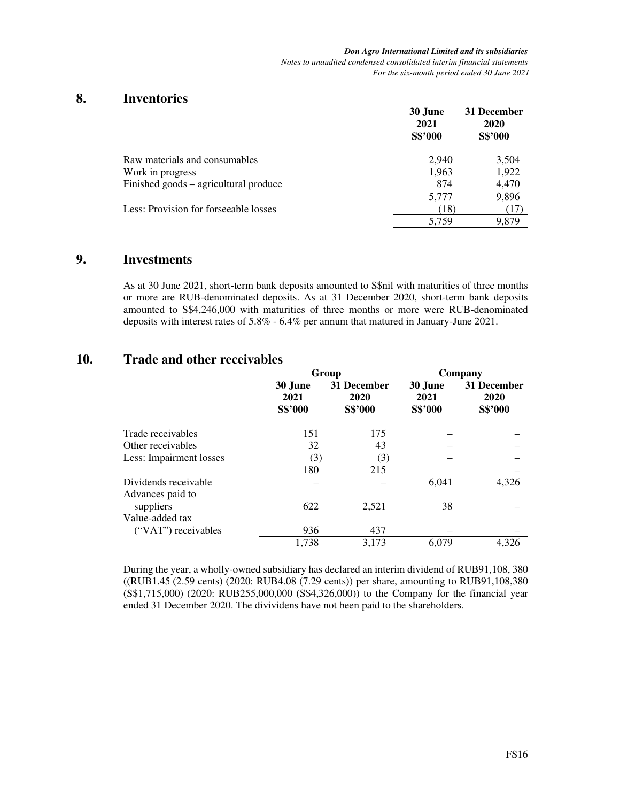*Don Agro International Limited and its subsidiaries Notes to unaudited condensed consolidated interim financial statements For the six-month period ended 30 June 2021* 

## **8. Inventories**

|                                       | 30 June<br>2021<br>S\$'000 | 31 December<br>2020<br>S\$'000 |
|---------------------------------------|----------------------------|--------------------------------|
| Raw materials and consumables         | 2.940                      | 3,504                          |
| Work in progress                      | 1,963                      | 1,922                          |
| Finished goods – agricultural produce | 874                        | 4,470                          |
|                                       | 5,777                      | 9,896                          |
| Less: Provision for forseeable losses | (18)                       | (17)                           |
|                                       | 5.759                      | 9.879                          |

# **9. Investments**

As at 30 June 2021, short-term bank deposits amounted to S\$nil with maturities of three months or more are RUB-denominated deposits. As at 31 December 2020, short-term bank deposits amounted to S\$4,246,000 with maturities of three months or more were RUB-denominated deposits with interest rates of 5.8% - 6.4% per annum that matured in January-June 2021.

# **10. Trade and other receivables**

|                         |                            | Group                          |                            | Company                        |
|-------------------------|----------------------------|--------------------------------|----------------------------|--------------------------------|
|                         | 30 June<br>2021<br>S\$'000 | 31 December<br>2020<br>S\$'000 | 30 June<br>2021<br>S\$'000 | 31 December<br>2020<br>S\$'000 |
| Trade receivables       | 151                        | 175                            |                            |                                |
| Other receivables       | 32                         | 43                             |                            |                                |
| Less: Impairment losses | (3)                        | (3)                            |                            |                                |
|                         | 180                        | 215                            |                            |                                |
| Dividends receivable    |                            |                                | 6,041                      | 4,326                          |
| Advances paid to        |                            |                                |                            |                                |
| suppliers               | 622                        | 2,521                          | 38                         |                                |
| Value-added tax         |                            |                                |                            |                                |
| ("VAT") receivables     | 936                        | 437                            |                            |                                |
|                         | 1,738                      | 3,173                          | 6.079                      | 4.326                          |

During the year, a wholly-owned subsidiary has declared an interim dividend of RUB91,108, 380 ((RUB1.45 (2.59 cents) (2020: RUB4.08 (7.29 cents)) per share, amounting to RUB91,108,380 (S\$1,715,000) (2020: RUB255,000,000 (S\$4,326,000)) to the Company for the financial year ended 31 December 2020. The divividens have not been paid to the shareholders.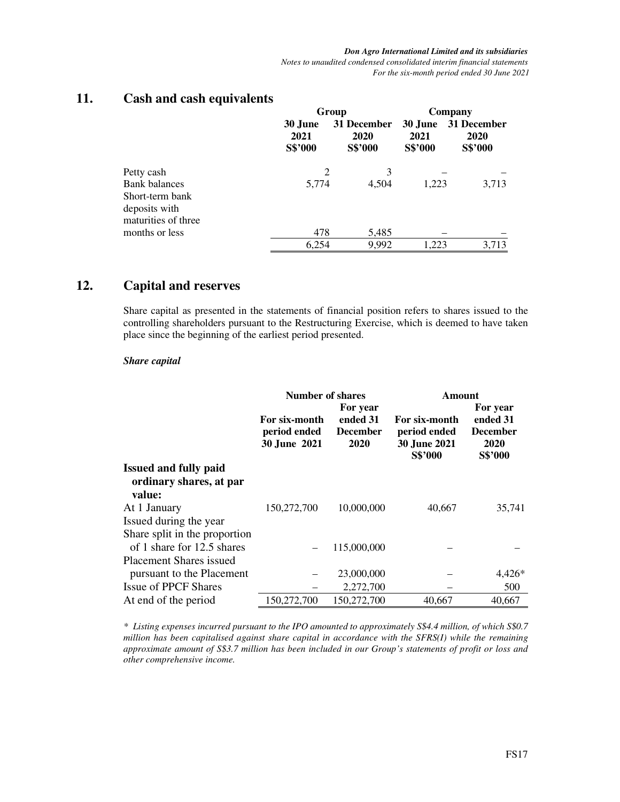|                                                                                               |                            | Group                          |                            | Company                        |
|-----------------------------------------------------------------------------------------------|----------------------------|--------------------------------|----------------------------|--------------------------------|
|                                                                                               | 30 June<br>2021<br>S\$'000 | 31 December<br>2020<br>S\$'000 | 30 June<br>2021<br>S\$'000 | 31 December<br>2020<br>S\$'000 |
| Petty cash<br><b>Bank</b> balances<br>Short-term bank<br>deposits with<br>maturities of three | 2<br>5,774                 | 3<br>4,504                     | 1,223                      | 3,713                          |
| months or less                                                                                | 478                        | 5,485                          |                            |                                |
|                                                                                               | 6,254                      | 9,992                          | 1.223                      | 3,713                          |

# **11. Cash and cash equivalents**

# **12. Capital and reserves**

Share capital as presented in the statements of financial position refers to shares issued to the controlling shareholders pursuant to the Restructuring Exercise, which is deemed to have taken place since the beginning of the earliest period presented.

### *Share capital*

|                                                                   |                                               | Number of shares                                |                                                                 | Amount<br>For year                             |
|-------------------------------------------------------------------|-----------------------------------------------|-------------------------------------------------|-----------------------------------------------------------------|------------------------------------------------|
|                                                                   | For six-month<br>period ended<br>30 June 2021 | For year<br>ended 31<br><b>December</b><br>2020 | For six-month<br>period ended<br><b>30 June 2021</b><br>S\$'000 | ended 31<br><b>December</b><br>2020<br>S\$'000 |
| <b>Issued and fully paid</b><br>ordinary shares, at par<br>value: |                                               |                                                 |                                                                 |                                                |
| At 1 January                                                      | 150,272,700                                   | 10,000,000                                      | 40,667                                                          | 35,741                                         |
| Issued during the year                                            |                                               |                                                 |                                                                 |                                                |
| Share split in the proportion                                     |                                               |                                                 |                                                                 |                                                |
| of 1 share for 12.5 shares                                        |                                               | 115,000,000                                     |                                                                 |                                                |
| <b>Placement Shares issued</b>                                    |                                               |                                                 |                                                                 |                                                |
| pursuant to the Placement                                         |                                               | 23,000,000                                      |                                                                 | $4,426*$                                       |
| <b>Issue of PPCF Shares</b>                                       |                                               | 2,272,700                                       |                                                                 | 500                                            |
| At end of the period                                              | 150,272,700                                   | 150,272,700                                     | 40.667                                                          | 40.667                                         |

*\* Listing expenses incurred pursuant to the IPO amounted to approximately S\$4.4 million, of which S\$0.7 million has been capitalised against share capital in accordance with the SFRS(I) while the remaining approximate amount of S\$3.7 million has been included in our Group's statements of profit or loss and other comprehensive income.*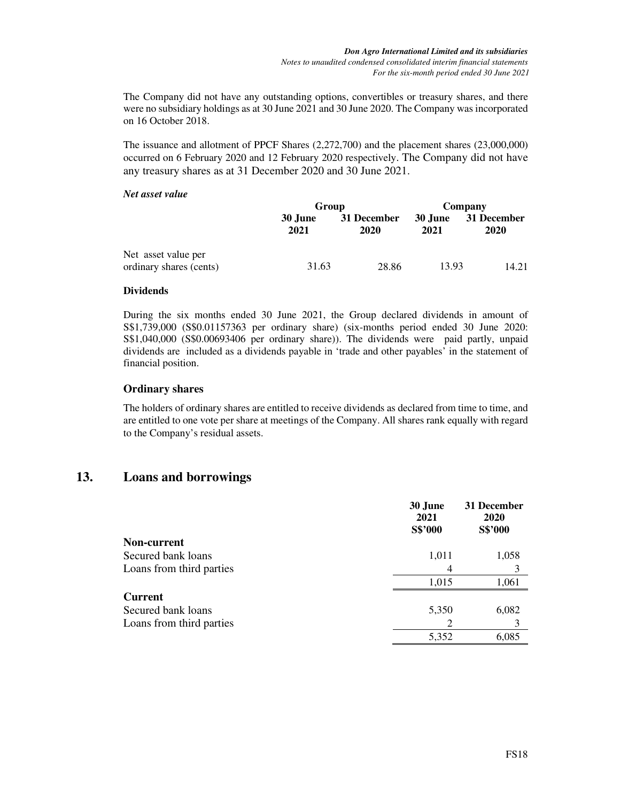The Company did not have any outstanding options, convertibles or treasury shares, and there were no subsidiary holdings as at 30 June 2021 and 30 June 2020. The Company was incorporated on 16 October 2018.

The issuance and allotment of PPCF Shares (2,272,700) and the placement shares (23,000,000) occurred on 6 February 2020 and 12 February 2020 respectively. The Company did not have any treasury shares as at 31 December 2020 and 30 June 2021.

#### *Net asset value*

|                                                | Group           |                     | Company                |                     |
|------------------------------------------------|-----------------|---------------------|------------------------|---------------------|
|                                                | 30 June<br>2021 | 31 December<br>2020 | <b>30 June</b><br>2021 | 31 December<br>2020 |
| Net asset value per<br>ordinary shares (cents) | 31.63           | 28.86               | 13.93                  | 14.21               |

#### **Dividends**

During the six months ended 30 June 2021, the Group declared dividends in amount of S\$1,739,000 (S\$0.01157363 per ordinary share) (six-months period ended 30 June 2020: S\$1,040,000 (S\$0.00693406 per ordinary share)). The dividends were paid partly, unpaid dividends are included as a dividends payable in 'trade and other payables' in the statement of financial position.

### **Ordinary shares**

The holders of ordinary shares are entitled to receive dividends as declared from time to time, and are entitled to one vote per share at meetings of the Company. All shares rank equally with regard to the Company's residual assets.

## **13. Loans and borrowings**

|                          | 30 June<br>2021<br>S\$'000 | 31 December<br>2020<br>S\$'000 |
|--------------------------|----------------------------|--------------------------------|
| Non-current              |                            |                                |
| Secured bank loans       | 1,011                      | 1,058                          |
| Loans from third parties | 4                          | 3                              |
|                          | 1,015                      | 1,061                          |
| <b>Current</b>           |                            |                                |
| Secured bank loans       | 5,350                      | 6,082                          |
| Loans from third parties | 2                          | 3                              |
|                          | 5,352                      | 6,085                          |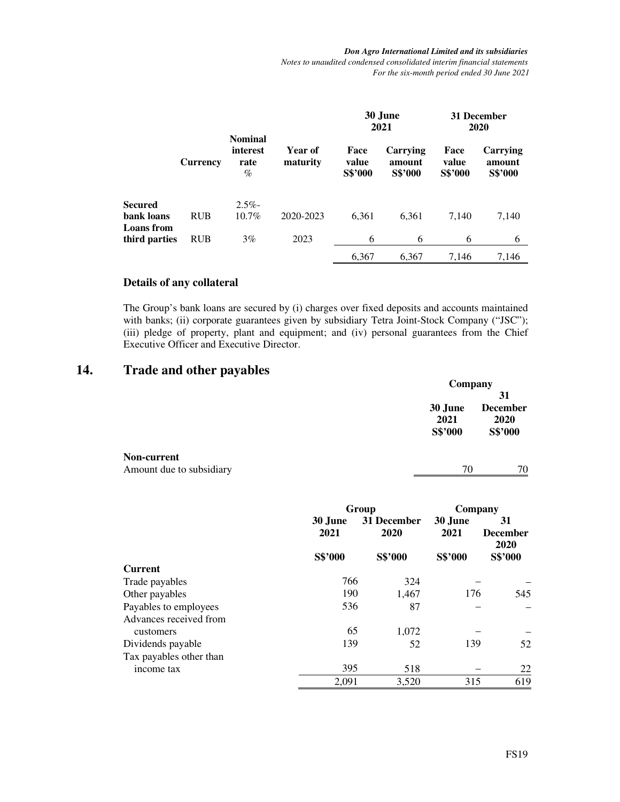*Don Agro International Limited and its subsidiaries Notes to unaudited condensed consolidated interim financial statements For the six-month period ended 30 June 2021* 

|                             |            |                                            |                     | 30 June<br>2021          |                                      | 31 December<br><b>2020</b>      |                                      |
|-----------------------------|------------|--------------------------------------------|---------------------|--------------------------|--------------------------------------|---------------------------------|--------------------------------------|
|                             | Currency   | <b>Nominal</b><br>interest<br>rate<br>$\%$ | Year of<br>maturity | Face<br>value<br>S\$'000 | Carrying<br>amount<br><b>S\$'000</b> | Face<br>value<br><b>S\$'000</b> | Carrying<br>amount<br><b>S\$'000</b> |
| Secured                     |            | $2.5\%$                                    |                     |                          |                                      |                                 |                                      |
| bank loans                  | <b>RUB</b> | 10.7%                                      | 2020-2023           | 6,361                    | 6,361                                | 7,140                           | 7,140                                |
| Loans from<br>third parties | <b>RUB</b> | 3%                                         | 2023                | 6                        | 6                                    | 6                               | 6                                    |
|                             |            |                                            |                     | 6,367                    | 6,367                                | 7,146                           | 7,146                                |

### **Details of any collateral**

The Group's bank loans are secured by (i) charges over fixed deposits and accounts maintained with banks; (ii) corporate guarantees given by subsidiary Tetra Joint-Stock Company ("JSC"); (iii) pledge of property, plant and equipment; and (iv) personal guarantees from the Chief Executive Officer and Executive Director.

# **14. Trade and other payables**

|             |         | Company         |  |
|-------------|---------|-----------------|--|
|             |         | 31              |  |
|             | 30 June | <b>December</b> |  |
|             | 2021    | 2020            |  |
|             | S\$'000 | S\$'000         |  |
| Non-current |         |                 |  |

| Amount due to subsidiary |  | 70 |
|--------------------------|--|----|
|                          |  |    |

|                         |                 | Group               |                 | Company                       |
|-------------------------|-----------------|---------------------|-----------------|-------------------------------|
|                         | 30 June<br>2021 | 31 December<br>2020 | 30 June<br>2021 | 31<br><b>December</b><br>2020 |
|                         | S\$'000         | S\$'000             | S\$'000         | S\$'000                       |
| <b>Current</b>          |                 |                     |                 |                               |
| Trade payables          | 766             | 324                 |                 |                               |
| Other payables          | 190             | 1,467               | 176             | 545                           |
| Payables to employees   | 536             | 87                  |                 |                               |
| Advances received from  |                 |                     |                 |                               |
| customers               | 65              | 1,072               |                 |                               |
| Dividends payable       | 139             | 52                  | 139             | 52                            |
| Tax payables other than |                 |                     |                 |                               |
| income tax              | 395             | 518                 |                 | 22                            |
|                         | 2,091           | 3,520               | 315             | 619                           |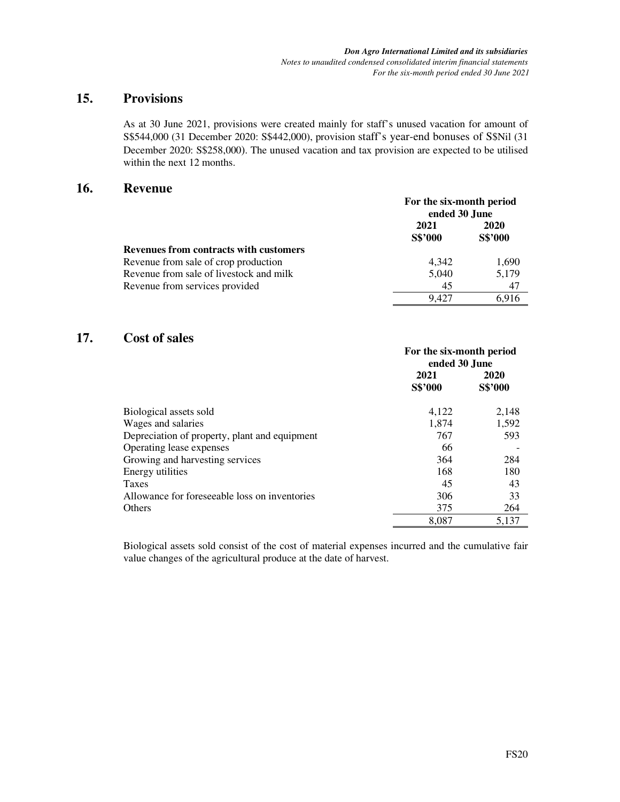# **15. Provisions**

As at 30 June 2021, provisions were created mainly for staff's unused vacation for amount of S\$544,000 (31 December 2020: S\$442,000), provision staff's year-end bonuses of S\$Nil (31 December 2020: S\$258,000). The unused vacation and tax provision are expected to be utilised within the next 12 months.

## **16. Revenue**

|                                               | For the six-month period<br>ended 30 June |                 |  |
|-----------------------------------------------|-------------------------------------------|-----------------|--|
|                                               | 2021<br><b>S\$'000</b>                    | 2020<br>S\$'000 |  |
| <b>Revenues from contracts with customers</b> |                                           |                 |  |
| Revenue from sale of crop production          | 4.342                                     | 1,690           |  |
| Revenue from sale of livestock and milk       | 5,040                                     | 5.179           |  |
| Revenue from services provided                | 45                                        | 47              |  |
|                                               | 9.427                                     | 6.916           |  |

# **17. Cost of sales**

|                                               | For the six-month period<br>ended 30 June |                 |
|-----------------------------------------------|-------------------------------------------|-----------------|
|                                               | 2021<br>S\$'000                           | 2020<br>S\$'000 |
| Biological assets sold                        | 4,122                                     | 2,148           |
| Wages and salaries                            | 1,874                                     | 1,592           |
| Depreciation of property, plant and equipment | 767                                       | 593             |
| Operating lease expenses                      | 66                                        |                 |
| Growing and harvesting services               | 364                                       | 284             |
| Energy utilities                              | 168                                       | 180             |
| Taxes                                         | 45                                        | 43              |
| Allowance for foreseeable loss on inventories | 306                                       | 33              |
| <b>Others</b>                                 | 375                                       | 264             |
|                                               | 8,087                                     | 5,137           |

Biological assets sold consist of the cost of material expenses incurred and the cumulative fair value changes of the agricultural produce at the date of harvest.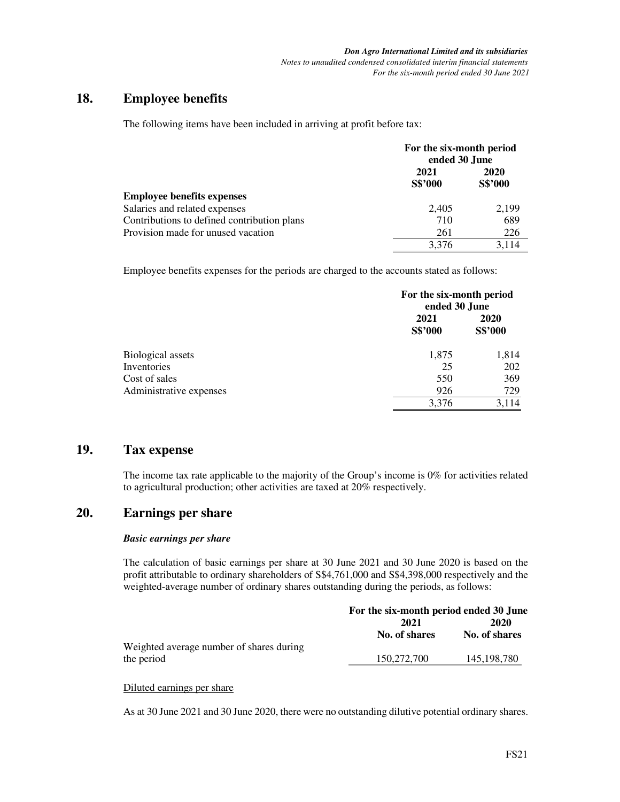# **18. Employee benefits**

The following items have been included in arriving at profit before tax:

|                                             | ended 30 June                                                       |             |
|---------------------------------------------|---------------------------------------------------------------------|-------------|
|                                             | 2021                                                                | <b>2020</b> |
|                                             | For the six-month period<br>S\$'000<br>2.405<br>710<br>261<br>3.376 | S\$'000     |
| Employee benefits expenses                  |                                                                     |             |
| Salaries and related expenses               |                                                                     | 2.199       |
| Contributions to defined contribution plans |                                                                     | 689         |
| Provision made for unused vacation          |                                                                     | 226         |
|                                             |                                                                     | 3.114       |

Employee benefits expenses for the periods are charged to the accounts stated as follows:

|                          | For the six-month period<br>ended 30 June |                 |  |
|--------------------------|-------------------------------------------|-----------------|--|
|                          | 2021<br>S\$'000                           | 2020<br>S\$'000 |  |
| <b>Biological assets</b> | 1,875                                     | 1,814           |  |
| Inventories              | 25                                        | 202             |  |
| Cost of sales            | 550                                       | 369             |  |
| Administrative expenses  | 926                                       | 729             |  |
|                          | 3,376                                     | 3,114           |  |

## **19. Tax expense**

The income tax rate applicable to the majority of the Group's income is 0% for activities related to agricultural production; other activities are taxed at 20% respectively.

# **20. Earnings per share**

#### *Basic earnings per share*

The calculation of basic earnings per share at 30 June 2021 and 30 June 2020 is based on the profit attributable to ordinary shareholders of S\$4,761,000 and S\$4,398,000 respectively and the weighted-average number of ordinary shares outstanding during the periods, as follows:

|                                          |               | For the six-month period ended 30 June |  |  |
|------------------------------------------|---------------|----------------------------------------|--|--|
|                                          | 2021          | 2020                                   |  |  |
|                                          | No. of shares | No. of shares                          |  |  |
| Weighted average number of shares during |               |                                        |  |  |
| the period                               | 150,272,700   | 145, 198, 780                          |  |  |

## Diluted earnings per share

As at 30 June 2021 and 30 June 2020, there were no outstanding dilutive potential ordinary shares.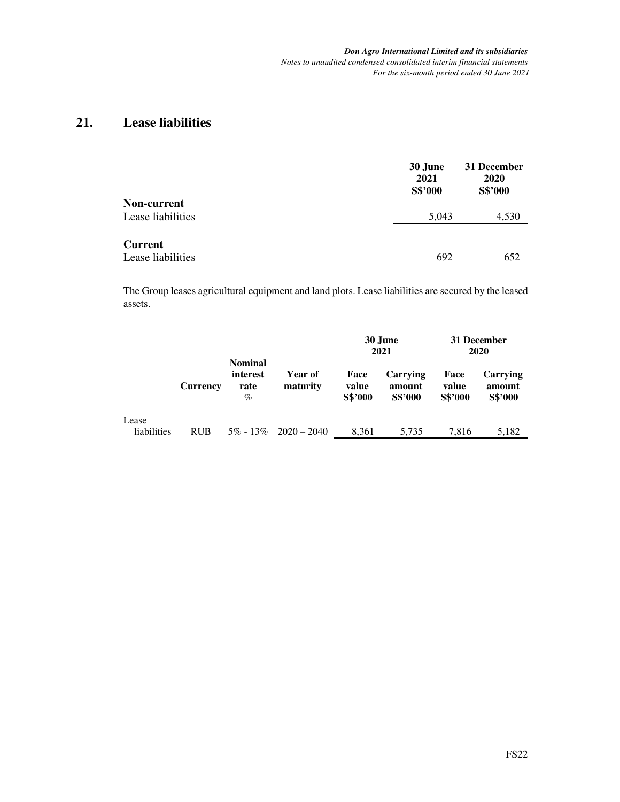*Don Agro International Limited and its subsidiaries Notes to unaudited condensed consolidated interim financial statements For the six-month period ended 30 June 2021* 

# **21. Lease liabilities**

|                                         | 30 June<br>2021<br>S\$'000 | 31 December<br>2020<br>S\$'000 |
|-----------------------------------------|----------------------------|--------------------------------|
| <b>Non-current</b><br>Lease liabilities | 5,043                      | 4,530                          |
| <b>Current</b><br>Lease liabilities     | 692                        | 652                            |

The Group leases agricultural equipment and land plots. Lease liabilities are secured by the leased assets.

|                      |                 |                                         |                     |                          | 30 June<br>2021                      |                          | 31 December<br><b>2020</b>           |
|----------------------|-----------------|-----------------------------------------|---------------------|--------------------------|--------------------------------------|--------------------------|--------------------------------------|
|                      | <b>Currency</b> | <b>Nominal</b><br>interest<br>rate<br>% | Year of<br>maturity | Face<br>value<br>S\$'000 | Carrying<br>amount<br><b>S\$'000</b> | Face<br>value<br>S\$'000 | Carrying<br>amount<br><b>S\$'000</b> |
| Lease<br>liabilities | <b>RUB</b>      | $5\% - 13\%$                            | $2020 - 2040$       | 8.361                    | 5.735                                | 7.816                    | 5,182                                |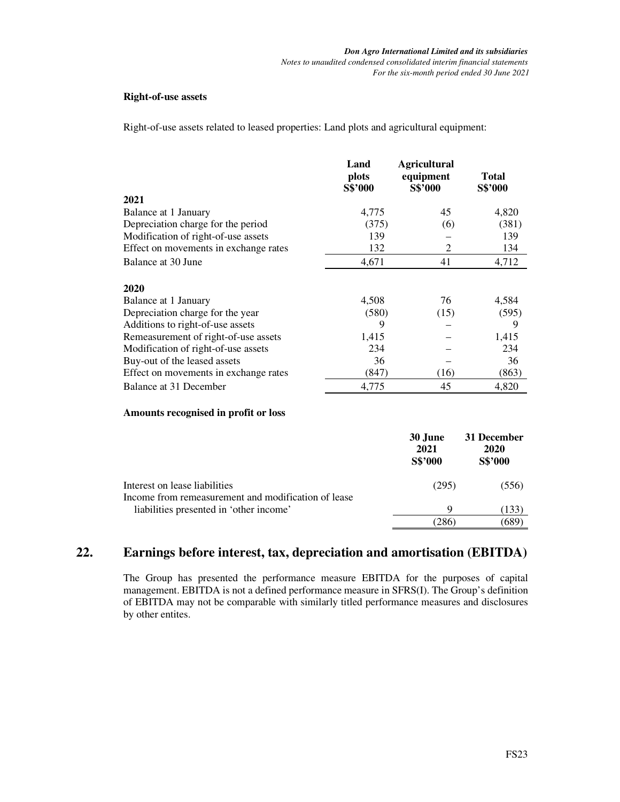#### **Right-of-use assets**

Right-of-use assets related to leased properties: Land plots and agricultural equipment:

|                                       | Land<br>plots<br>S\$'000 | <b>Agricultural</b><br>equipment<br>S\$'000 | Total<br>S\$'000 |
|---------------------------------------|--------------------------|---------------------------------------------|------------------|
| 2021                                  |                          |                                             |                  |
| Balance at 1 January                  | 4,775                    | 45                                          | 4,820            |
| Depreciation charge for the period    | (375)                    | (6)                                         | (381)            |
| Modification of right-of-use assets   | 139                      |                                             | 139              |
| Effect on movements in exchange rates | 132                      | $\overline{2}$                              | 134              |
| Balance at 30 June                    | 4,671                    | 41                                          | 4,712            |
| 2020                                  |                          |                                             |                  |
| Balance at 1 January                  | 4,508                    | 76                                          | 4,584            |
| Depreciation charge for the year      | (580)                    | (15)                                        | (595)            |
| Additions to right-of-use assets      | 9                        |                                             | 9                |
| Remeasurement of right-of-use assets  | 1,415                    |                                             | 1,415            |
| Modification of right-of-use assets   | 234                      |                                             | 234              |
| Buy-out of the leased assets          | 36                       |                                             | 36               |
| Effect on movements in exchange rates | (847)                    | (16)                                        | (863)            |
| Balance at 31 December                | 4,775                    | 45                                          | 4,820            |

### **Amounts recognised in profit or loss**

|                                                                                      | 30 June<br>2021<br>S\$'000 | 31 December<br>2020<br>S\$'000 |
|--------------------------------------------------------------------------------------|----------------------------|--------------------------------|
| Interest on lease liabilities<br>Income from remeasurement and modification of lease | (295)                      | (556)                          |
| liabilities presented in 'other income'                                              | 9                          | 133                            |
|                                                                                      | 286                        |                                |

# **22. Earnings before interest, tax, depreciation and amortisation (EBITDA)**

The Group has presented the performance measure EBITDA for the purposes of capital management. EBITDA is not a defined performance measure in SFRS(I). The Group's definition of EBITDA may not be comparable with similarly titled performance measures and disclosures by other entites.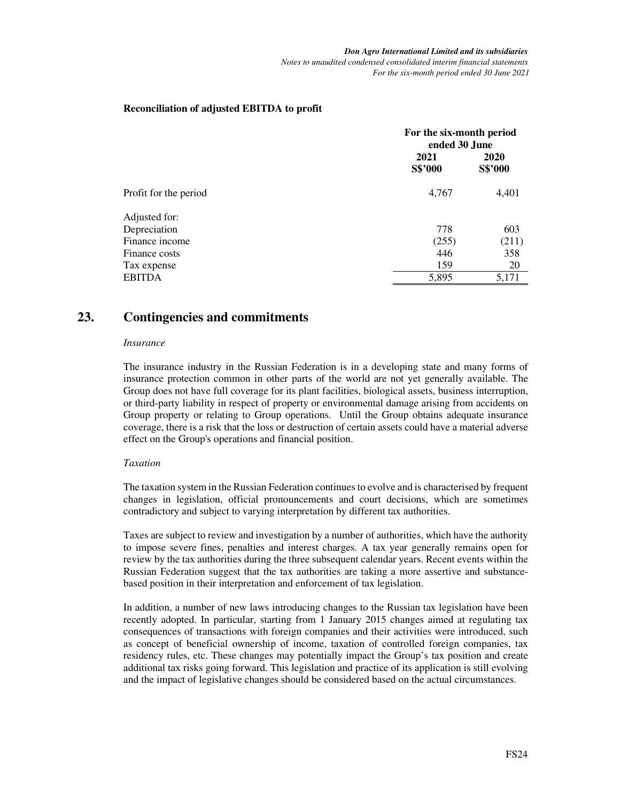### **Reconciliation of adjusted EBITDA to profit**

|                       |                 | For the six-month period<br>ended 30 June |  |  |
|-----------------------|-----------------|-------------------------------------------|--|--|
|                       | 2021<br>S\$'000 | 2020<br>S\$'000                           |  |  |
| Profit for the period | 4,767           | 4,401                                     |  |  |
| Adjusted for:         |                 |                                           |  |  |
| Depreciation          | 778             | 603                                       |  |  |
| Finance income        | (255)           | (211)                                     |  |  |
| Finance costs         | 446             | 358                                       |  |  |
| Tax expense           | 159             | 20                                        |  |  |
| <b>EBITDA</b>         | 5,895           | 5,171                                     |  |  |

# **23. Contingencies and commitments**

#### *Insurance*

The insurance industry in the Russian Federation is in a developing state and many forms of insurance protection common in other parts of the world are not yet generally available. The Group does not have full coverage for its plant facilities, biological assets, business interruption, or third-party liability in respect of property or environmental damage arising from accidents on Group property or relating to Group operations. Until the Group obtains adequate insurance coverage, there is a risk that the loss or destruction of certain assets could have a material adverse effect on the Group's operations and financial position.

#### *Taxation*

The taxation system in the Russian Federation continues to evolve and is characterised by frequent changes in legislation, official pronouncements and court decisions, which are sometimes contradictory and subject to varying interpretation by different tax authorities.

Taxes are subject to review and investigation by a number of authorities, which have the authority to impose severe fines, penalties and interest charges. A tax year generally remains open for review by the tax authorities during the three subsequent calendar years. Recent events within the Russian Federation suggest that the tax authorities are taking a more assertive and substancebased position in their interpretation and enforcement of tax legislation.

In addition, a number of new laws introducing changes to the Russian tax legislation have been recently adopted. In particular, starting from 1 January 2015 changes aimed at regulating tax consequences of transactions with foreign companies and their activities were introduced, such as concept of beneficial ownership of income, taxation of controlled foreign companies, tax residency rules, etc. These changes may potentially impact the Group's tax position and create additional tax risks going forward. This legislation and practice of its application is still evolving and the impact of legislative changes should be considered based on the actual circumstances.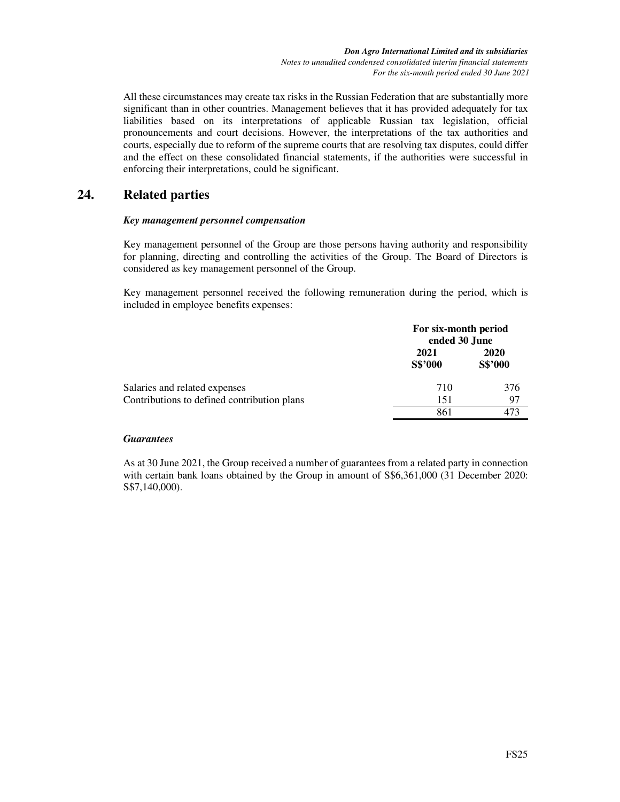All these circumstances may create tax risks in the Russian Federation that are substantially more significant than in other countries. Management believes that it has provided adequately for tax liabilities based on its interpretations of applicable Russian tax legislation, official pronouncements and court decisions. However, the interpretations of the tax authorities and courts, especially due to reform of the supreme courts that are resolving tax disputes, could differ and the effect on these consolidated financial statements, if the authorities were successful in enforcing their interpretations, could be significant.

# **24. Related parties**

### *Key management personnel compensation*

Key management personnel of the Group are those persons having authority and responsibility for planning, directing and controlling the activities of the Group. The Board of Directors is considered as key management personnel of the Group.

Key management personnel received the following remuneration during the period, which is included in employee benefits expenses:

|                                             | For six-month period<br>ended 30 June |                        |
|---------------------------------------------|---------------------------------------|------------------------|
|                                             | 2021<br>S\$'000                       | <b>2020</b><br>S\$'000 |
| Salaries and related expenses               | 710                                   | 376                    |
| Contributions to defined contribution plans | 151                                   | 97                     |
|                                             | 861                                   | 473                    |

#### *Guarantees*

As at 30 June 2021, the Group received a number of guarantees from a related party in connection with certain bank loans obtained by the Group in amount of  $\$6,361,000$  (31 December 2020: S\$7,140,000).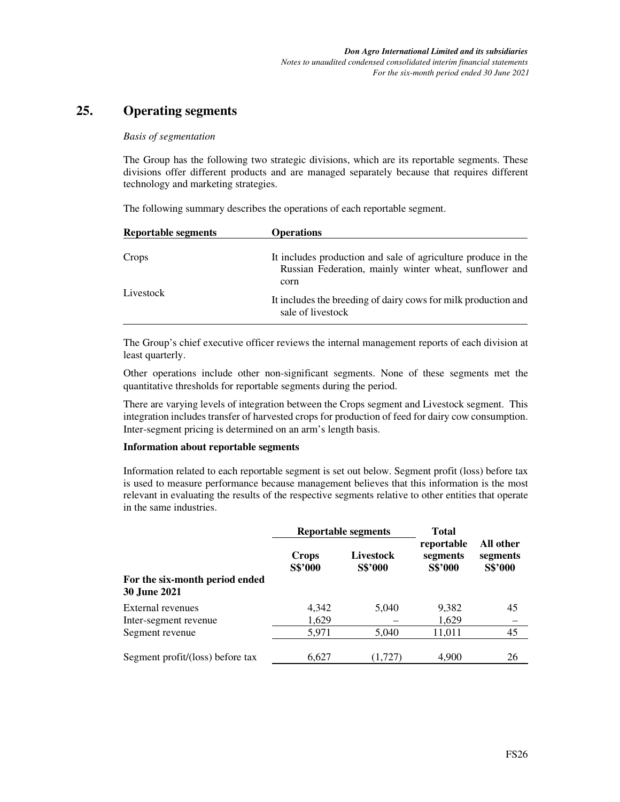# **25. Operating segments**

#### *Basis of segmentation*

The Group has the following two strategic divisions, which are its reportable segments. These divisions offer different products and are managed separately because that requires different technology and marketing strategies.

The following summary describes the operations of each reportable segment.

| <b>Reportable segments</b> | <b>Operations</b>                                                                                                               |
|----------------------------|---------------------------------------------------------------------------------------------------------------------------------|
| Crops                      | It includes production and sale of agriculture produce in the<br>Russian Federation, mainly winter wheat, sunflower and<br>corn |
| Livestock                  | It includes the breeding of dairy cows for milk production and<br>sale of livestock                                             |

The Group's chief executive officer reviews the internal management reports of each division at least quarterly.

Other operations include other non-significant segments. None of these segments met the quantitative thresholds for reportable segments during the period.

There are varying levels of integration between the Crops segment and Livestock segment. This integration includes transfer of harvested crops for production of feed for dairy cow consumption. Inter-segment pricing is determined on an arm's length basis.

#### **Information about reportable segments**

Information related to each reportable segment is set out below. Segment profit (loss) before tax is used to measure performance because management believes that this information is the most relevant in evaluating the results of the respective segments relative to other entities that operate in the same industries.

|                                                       | Reportable segments     |                             | <b>Total</b>                      |                                  |  |
|-------------------------------------------------------|-------------------------|-----------------------------|-----------------------------------|----------------------------------|--|
|                                                       | <b>Crops</b><br>S\$'000 | <b>Livestock</b><br>S\$'000 | reportable<br>segments<br>S\$'000 | All other<br>segments<br>S\$'000 |  |
| For the six-month period ended<br><b>30 June 2021</b> |                         |                             |                                   |                                  |  |
| External revenues                                     | 4,342                   | 5,040                       | 9,382                             | 45                               |  |
| Inter-segment revenue                                 | 1,629                   |                             | 1,629                             |                                  |  |
| Segment revenue                                       | 5,971                   | 5,040                       | 11,011                            | 45                               |  |
| Segment profit/(loss) before tax                      | 6,627                   | (1,727)                     | 4.900                             | 26                               |  |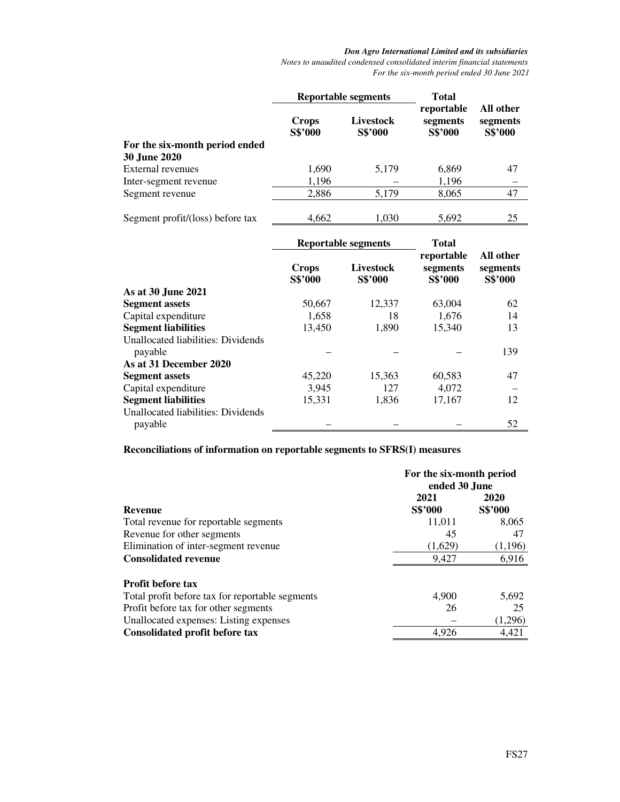*Notes to unaudited condensed consolidated interim financial statements For the six-month period ended 30 June 2021* 

|                                                      | <b>Reportable segments</b> |                      | <b>Total</b>                      |                                  |
|------------------------------------------------------|----------------------------|----------------------|-----------------------------------|----------------------------------|
| For the six-month period ended                       | <b>Crops</b><br>S\$'000    | Livestock<br>S\$'000 | reportable<br>segments<br>S\$'000 | All other<br>segments<br>S\$'000 |
| <b>30 June 2020</b>                                  |                            |                      |                                   |                                  |
| <b>External revenues</b>                             | 1,690                      | 5,179                | 6,869                             | 47                               |
| Inter-segment revenue                                | 1,196                      |                      | 1,196                             | -                                |
| Segment revenue                                      | 2,886                      | 5,179                | 8,065                             | 47                               |
| Segment profit/(loss) before tax                     | 4,662                      | 1,030                | 5,692                             | 25                               |
|                                                      | <b>Reportable segments</b> |                      | <b>Total</b><br>reportable        | All other                        |
|                                                      | <b>Crops</b><br>S\$'000    | Livestock<br>S\$'000 | segments<br>S\$'000               | segments<br>S\$'000              |
| As at 30 June 2021                                   |                            |                      |                                   |                                  |
| <b>Segment assets</b>                                | 50,667                     | 12,337               | 63,004                            | 62                               |
| Capital expenditure                                  | 1,658                      | 18                   | 1,676                             | 14                               |
| <b>Segment liabilities</b>                           | 13,450                     | 1,890                | 15,340                            | 13                               |
| <b>Unallocated liabilities: Dividends</b><br>payable |                            |                      |                                   | 139                              |
| As at 31 December 2020                               |                            |                      |                                   |                                  |
| <b>Segment assets</b>                                | 45,220                     | 15,363               | 60,583                            | 47                               |
| Capital expenditure                                  | 3,945                      | 127                  | 4,072                             |                                  |
| <b>Segment liabilities</b>                           | 15,331                     | 1,836                | 17,167                            | 12                               |
| <b>Unallocated liabilities: Dividends</b><br>payable |                            |                      |                                   | 52                               |

**Reconciliations of information on reportable segments to SFRS(I) measures** 

|                                                 | For the six-month period<br>ended 30 June |         |
|-------------------------------------------------|-------------------------------------------|---------|
|                                                 | 2021                                      | 2020    |
| <b>Revenue</b>                                  | S\$'000                                   | S\$'000 |
| Total revenue for reportable segments           | 11,011                                    | 8,065   |
| Revenue for other segments                      | 45                                        | 47      |
| Elimination of inter-segment revenue            | (1.629)                                   | (1,196) |
| <b>Consolidated revenue</b>                     | 9.427                                     | 6,916   |
| <b>Profit before tax</b>                        |                                           |         |
| Total profit before tax for reportable segments | 4.900                                     | 5,692   |
| Profit before tax for other segments            | 26                                        | 25      |
| Unallocated expenses: Listing expenses          |                                           | (1,296) |
| Consolidated profit before tax                  | 4.926                                     | 4.421   |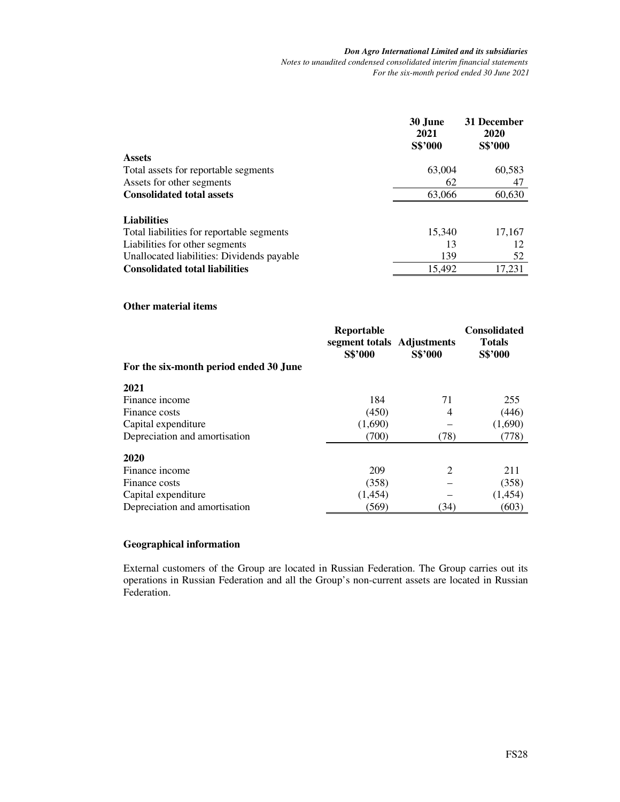#### *Don Agro International Limited and its subsidiaries Notes to unaudited condensed consolidated interim financial statements For the six-month period ended 30 June 2021*

|                                            | 30 June<br>2021<br>S\$'000 | 31 December<br>2020<br>S\$'000 |
|--------------------------------------------|----------------------------|--------------------------------|
| <b>Assets</b>                              |                            |                                |
| Total assets for reportable segments       | 63,004                     | 60,583                         |
| Assets for other segments                  | 62                         | 47                             |
| <b>Consolidated total assets</b>           | 63,066                     | 60,630                         |
|                                            |                            |                                |
| <b>Liabilities</b>                         |                            |                                |
| Total liabilities for reportable segments  | 15,340                     | 17,167                         |
| Liabilities for other segments             | 13                         | 12                             |
| Unallocated liabilities: Dividends payable | 139                        | 52                             |
| <b>Consolidated total liabilities</b>      | 15,492                     | 17.231                         |

#### **Other material items**

| For the six-month period ended 30 June | Reportable<br>segment totals Adjustments<br><b>S\$'000</b> | S\$'000 | <b>Consolidated</b><br><b>Totals</b><br>S\$'000 |
|----------------------------------------|------------------------------------------------------------|---------|-------------------------------------------------|
| 2021                                   |                                                            |         |                                                 |
| Finance income                         | 184                                                        | 71      | 255                                             |
| Finance costs                          | (450)                                                      | 4       | (446)                                           |
| Capital expenditure                    | (1,690)                                                    |         | (1,690)                                         |
| Depreciation and amortisation          | (700)                                                      | (78)    | (778)                                           |
| 2020                                   |                                                            |         |                                                 |
| Finance income                         | 209                                                        | 2       | 211                                             |
| Finance costs                          | (358)                                                      |         | (358)                                           |
| Capital expenditure                    | (1,454)                                                    |         | (1,454)                                         |
| Depreciation and amortisation          | (569)                                                      | (34)    | (603)                                           |

### **Geographical information**

External customers of the Group are located in Russian Federation. The Group carries out its operations in Russian Federation and all the Group's non-current assets are located in Russian Federation.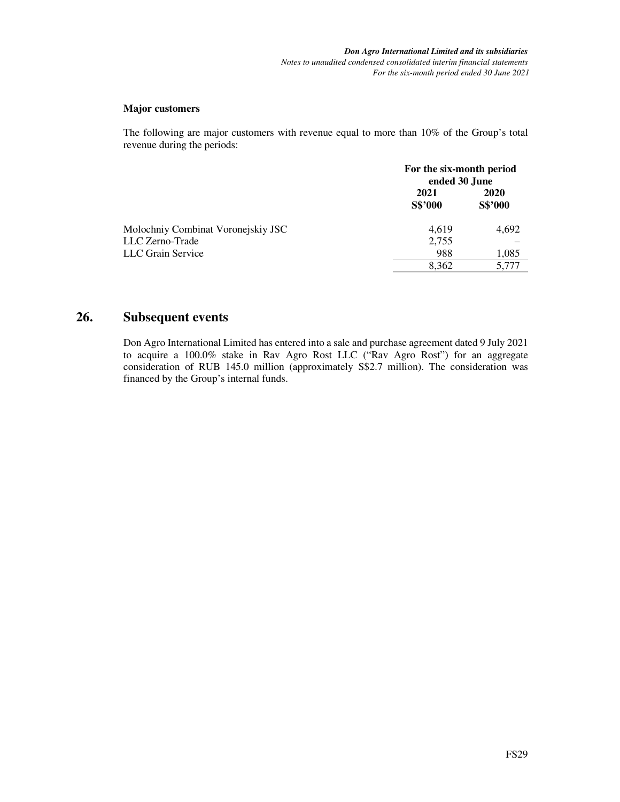#### **Major customers**

The following are major customers with revenue equal to more than 10% of the Group's total revenue during the periods:

|                                    | For the six-month period<br>ended 30 June |                 |
|------------------------------------|-------------------------------------------|-----------------|
|                                    | 2021<br><b>S\$'000</b>                    | 2020<br>S\$'000 |
| Molochniy Combinat Voronejskiy JSC | 4,619                                     | 4,692           |
| LLC Zerno-Trade                    | 2,755                                     |                 |
| LLC Grain Service                  | 988                                       | 1,085           |
|                                    | 8.362                                     | 5,777           |

# **26. Subsequent events**

Don Agro International Limited has entered into a sale and purchase agreement dated 9 July 2021 to acquire a 100.0% stake in Rav Agro Rost LLC ("Rav Agro Rost") for an aggregate consideration of RUB 145.0 million (approximately S\$2.7 million). The consideration was financed by the Group's internal funds.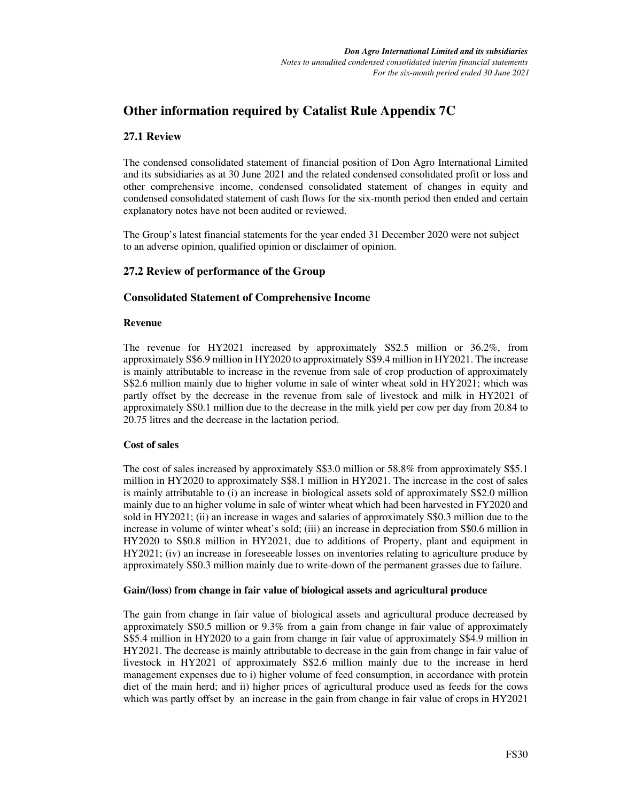# **Other information required by Catalist Rule Appendix 7C**

## **27.1 Review**

The condensed consolidated statement of financial position of Don Agro International Limited and its subsidiaries as at 30 June 2021 and the related condensed consolidated profit or loss and other comprehensive income, condensed consolidated statement of changes in equity and condensed consolidated statement of cash flows for the six-month period then ended and certain explanatory notes have not been audited or reviewed.

The Group's latest financial statements for the year ended 31 December 2020 were not subject to an adverse opinion, qualified opinion or disclaimer of opinion.

## **27.2 Review of performance of the Group**

## **Consolidated Statement of Comprehensive Income**

#### **Revenue**

The revenue for HY2021 increased by approximately S\$2.5 million or 36.2%, from approximately S\$6.9 million in HY2020 to approximately S\$9.4 million in HY2021. The increase is mainly attributable to increase in the revenue from sale of crop production of approximately S\$2.6 million mainly due to higher volume in sale of winter wheat sold in HY2021; which was partly offset by the decrease in the revenue from sale of livestock and milk in HY2021 of approximately S\$0.1 million due to the decrease in the milk yield per cow per day from 20.84 to 20.75 litres and the decrease in the lactation period.

#### **Cost of sales**

The cost of sales increased by approximately S\$3.0 million or 58.8% from approximately S\$5.1 million in HY2020 to approximately S\$8.1 million in HY2021. The increase in the cost of sales is mainly attributable to (i) an increase in biological assets sold of approximately S\$2.0 million mainly due to an higher volume in sale of winter wheat which had been harvested in FY2020 and sold in HY2021; (ii) an increase in wages and salaries of approximately S\$0.3 million due to the increase in volume of winter wheat's sold; (iii) an increase in depreciation from S\$0.6 million in HY2020 to S\$0.8 million in HY2021, due to additions of Property, plant and equipment in HY2021; (iv) an increase in foreseeable losses on inventories relating to agriculture produce by approximately S\$0.3 million mainly due to write-down of the permanent grasses due to failure.

#### **Gain/(loss) from change in fair value of biological assets and agricultural produce**

The gain from change in fair value of biological assets and agricultural produce decreased by approximately S\$0.5 million or 9.3% from a gain from change in fair value of approximately S\$5.4 million in HY2020 to a gain from change in fair value of approximately S\$4.9 million in HY2021. The decrease is mainly attributable to decrease in the gain from change in fair value of livestock in HY2021 of approximately S\$2.6 million mainly due to the increase in herd management expenses due to i) higher volume of feed consumption, in accordance with protein diet of the main herd; and ii) higher prices of agricultural produce used as feeds for the cows which was partly offset by an increase in the gain from change in fair value of crops in HY2021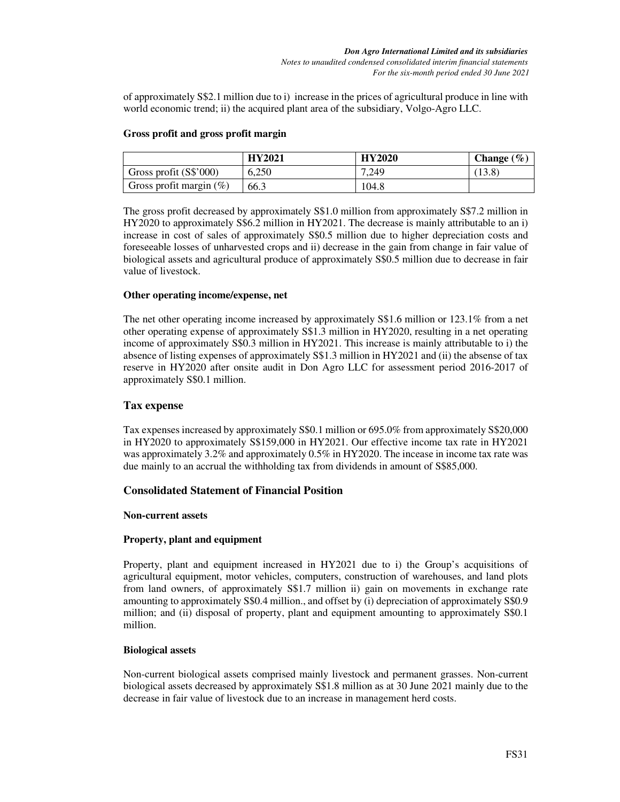of approximately S\$2.1 million due to i) increase in the prices of agricultural produce in line with world economic trend; ii) the acquired plant area of the subsidiary, Volgo-Agro LLC.

### **Gross profit and gross profit margin**

|                            | <b>HY2021</b> | <b>HY2020</b> | <b>Change</b> $(\%)$ |
|----------------------------|---------------|---------------|----------------------|
| Gross profit (S\$'000)     | 6.250         | 7,249         | (13.8)               |
| Gross profit margin $(\%)$ | 66.3          | 104.8         |                      |

The gross profit decreased by approximately S\$1.0 million from approximately S\$7.2 million in HY2020 to approximately S\$6.2 million in HY2021. The decrease is mainly attributable to an i) increase in cost of sales of approximately S\$0.5 million due to higher depreciation costs and foreseeable losses of unharvested crops and ii) decrease in the gain from change in fair value of biological assets and agricultural produce of approximately S\$0.5 million due to decrease in fair value of livestock.

### **Other operating income/expense, net**

The net other operating income increased by approximately S\$1.6 million or 123.1% from a net other operating expense of approximately S\$1.3 million in HY2020, resulting in a net operating income of approximately S\$0.3 million in HY2021. This increase is mainly attributable to i) the absence of listing expenses of approximately S\$1.3 million in HY2021 and (ii) the absense of tax reserve in HY2020 after onsite audit in Don Agro LLC for assessment period 2016-2017 of approximately S\$0.1 million.

### **Tax expense**

Tax expenses increased by approximately S\$0.1 million or 695.0% from approximately S\$20,000 in HY2020 to approximately S\$159,000 in HY2021. Our effective income tax rate in HY2021 was approximately 3.2% and approximately 0.5% in HY2020. The incease in income tax rate was due mainly to an accrual the withholding tax from dividends in amount of S\$85,000.

## **Consolidated Statement of Financial Position**

#### **Non-current assets**

#### **Property, plant and equipment**

Property, plant and equipment increased in HY2021 due to i) the Group's acquisitions of agricultural equipment, motor vehicles, computers, construction of warehouses, and land plots from land owners, of approximately S\$1.7 million ii) gain on movements in exchange rate amounting to approximately S\$0.4 million., and offset by (i) depreciation of approximately S\$0.9 million; and (ii) disposal of property, plant and equipment amounting to approximately S\$0.1 million.

#### **Biological assets**

Non-current biological assets comprised mainly livestock and permanent grasses. Non-current biological assets decreased by approximately S\$1.8 million as at 30 June 2021 mainly due to the decrease in fair value of livestock due to an increase in management herd costs.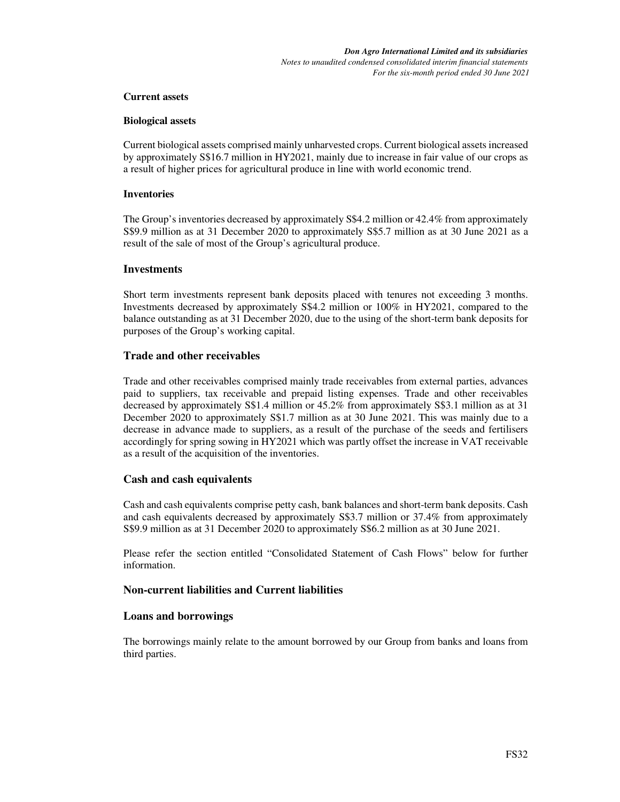#### **Current assets**

#### **Biological assets**

Current biological assets comprised mainly unharvested crops. Current biological assets increased by approximately S\$16.7 million in HY2021, mainly due to increase in fair value of our crops as a result of higher prices for agricultural produce in line with world economic trend.

#### **Inventories**

The Group's inventories decreased by approximately S\$4.2 million or 42.4% from approximately S\$9.9 million as at 31 December 2020 to approximately S\$5.7 million as at 30 June 2021 as a result of the sale of most of the Group's agricultural produce.

#### **Investments**

Short term investments represent bank deposits placed with tenures not exceeding 3 months. Investments decreased by approximately S\$4.2 million or 100% in HY2021, compared to the balance outstanding as at 31 December 2020, due to the using of the short-term bank deposits for purposes of the Group's working capital.

#### **Trade and other receivables**

Trade and other receivables comprised mainly trade receivables from external parties, advances paid to suppliers, tax receivable and prepaid listing expenses. Trade and other receivables decreased by approximately S\$1.4 million or 45.2% from approximately S\$3.1 million as at 31 December 2020 to approximately S\$1.7 million as at 30 June 2021. This was mainly due to a decrease in advance made to suppliers, as a result of the purchase of the seeds and fertilisers accordingly for spring sowing in HY2021 which was partly offset the increase in VAT receivable as a result of the acquisition of the inventories.

#### **Cash and cash equivalents**

Cash and cash equivalents comprise petty cash, bank balances and short-term bank deposits. Cash and cash equivalents decreased by approximately S\$3.7 million or 37.4% from approximately S\$9.9 million as at 31 December 2020 to approximately S\$6.2 million as at 30 June 2021.

Please refer the section entitled "Consolidated Statement of Cash Flows" below for further information.

### **Non-current liabilities and Current liabilities**

#### **Loans and borrowings**

The borrowings mainly relate to the amount borrowed by our Group from banks and loans from third parties.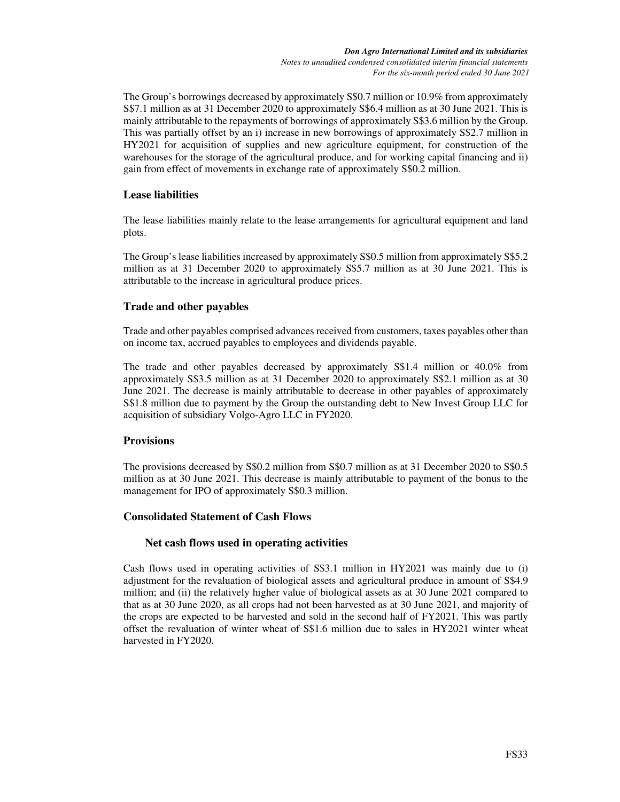The Group's borrowings decreased by approximately S\$0.7 million or 10.9% from approximately S\$7.1 million as at 31 December 2020 to approximately S\$6.4 million as at 30 June 2021. This is mainly attributable to the repayments of borrowings of approximately S\$3.6 million by the Group. This was partially offset by an i) increase in new borrowings of approximately S\$2.7 million in HY2021 for acquisition of supplies and new agriculture equipment, for construction of the warehouses for the storage of the agricultural produce, and for working capital financing and ii) gain from effect of movements in exchange rate of approximately S\$0.2 million.

## **Lease liabilities**

The lease liabilities mainly relate to the lease arrangements for agricultural equipment and land plots.

The Group's lease liabilities increased by approximately S\$0.5 million from approximately S\$5.2 million as at 31 December 2020 to approximately S\$5.7 million as at 30 June 2021. This is attributable to the increase in agricultural produce prices.

## **Trade and other payables**

Trade and other payables comprised advances received from customers, taxes payables other than on income tax, accrued payables to employees and dividends payable.

The trade and other payables decreased by approximately S\$1.4 million or 40.0% from approximately S\$3.5 million as at 31 December 2020 to approximately S\$2.1 million as at 30 June 2021. The decrease is mainly attributable to decrease in other payables of approximately S\$1.8 million due to payment by the Group the outstanding debt to New Invest Group LLC for acquisition of subsidiary Volgo-Agro LLC in FY2020.

## **Provisions**

The provisions decreased by S\$0.2 million from S\$0.7 million as at 31 December 2020 to S\$0.5 million as at 30 June 2021. This decrease is mainly attributable to payment of the bonus to the management for IPO of approximately S\$0.3 million.

## **Consolidated Statement of Cash Flows**

## **Net cash flows used in operating activities**

Cash flows used in operating activities of S\$3.1 million in HY2021 was mainly due to (i) adjustment for the revaluation of biological assets and agricultural produce in amount of S\$4.9 million; and (ii) the relatively higher value of biological assets as at 30 June 2021 compared to that as at 30 June 2020, as all crops had not been harvested as at 30 June 2021, and majority of the crops are expected to be harvested and sold in the second half of FY2021. This was partly offset the revaluation of winter wheat of S\$1.6 million due to sales in HY2021 winter wheat harvested in FY2020.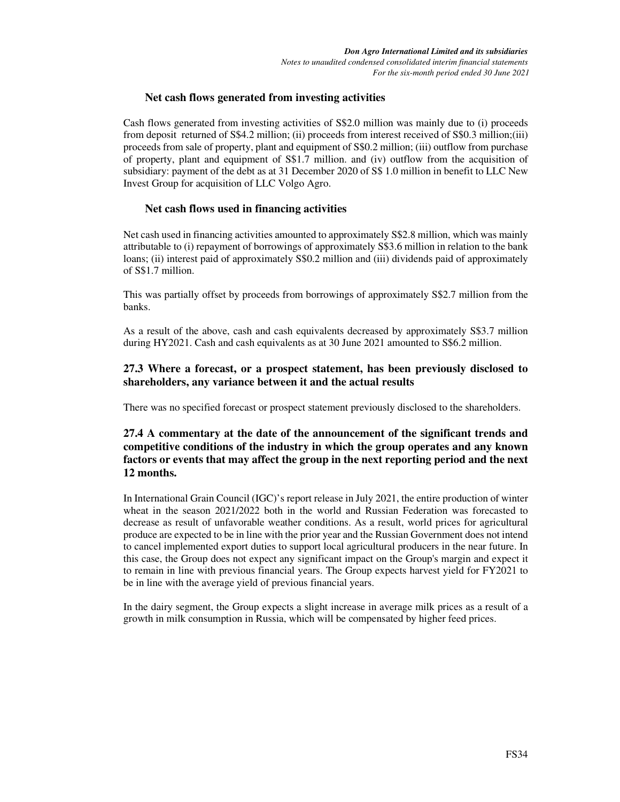### **Net cash flows generated from investing activities**

Cash flows generated from investing activities of S\$2.0 million was mainly due to (i) proceeds from deposit returned of S\$4.2 million; (ii) proceeds from interest received of S\$0.3 million;(iii) proceeds from sale of property, plant and equipment of S\$0.2 million; (iii) outflow from purchase of property, plant and equipment of S\$1.7 million. and (iv) outflow from the acquisition of subsidiary: payment of the debt as at 31 December 2020 of S\$ 1.0 million in benefit to LLC New Invest Group for acquisition of LLC Volgo Agro.

### **Net cash flows used in financing activities**

Net cash used in financing activities amounted to approximately S\$2.8 million, which was mainly attributable to (i) repayment of borrowings of approximately S\$3.6 million in relation to the bank loans; (ii) interest paid of approximately S\$0.2 million and (iii) dividends paid of approximately of S\$1.7 million.

This was partially offset by proceeds from borrowings of approximately S\$2.7 million from the banks.

As a result of the above, cash and cash equivalents decreased by approximately S\$3.7 million during HY2021. Cash and cash equivalents as at 30 June 2021 amounted to S\$6.2 million.

## **27.3 Where a forecast, or a prospect statement, has been previously disclosed to shareholders, any variance between it and the actual results**

There was no specified forecast or prospect statement previously disclosed to the shareholders.

## **27.4 A commentary at the date of the announcement of the significant trends and competitive conditions of the industry in which the group operates and any known factors or events that may affect the group in the next reporting period and the next 12 months.**

In International Grain Council (IGC)'s report release in July 2021, the entire production of winter wheat in the season 2021/2022 both in the world and Russian Federation was forecasted to decrease as result of unfavorable weather conditions. As a result, world prices for agricultural produce are expected to be in line with the prior year and the Russian Government does not intend to cancel implemented export duties to support local agricultural producers in the near future. In this case, the Group does not expect any significant impact on the Group's margin and expect it to remain in line with previous financial years. The Group expects harvest yield for FY2021 to be in line with the average yield of previous financial years.

In the dairy segment, the Group expects a slight increase in average milk prices as a result of a growth in milk consumption in Russia, which will be compensated by higher feed prices.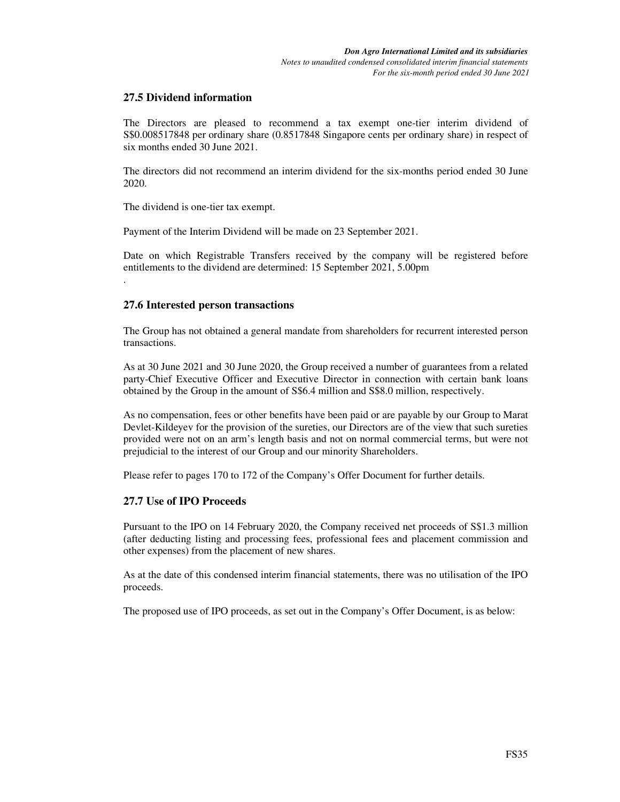## **27.5 Dividend information**

The Directors are pleased to recommend a tax exempt one-tier interim dividend of S\$0.008517848 per ordinary share (0.8517848 Singapore cents per ordinary share) in respect of six months ended 30 June 2021.

The directors did not recommend an interim dividend for the six-months period ended 30 June 2020.

The dividend is one-tier tax exempt.

.

Payment of the Interim Dividend will be made on 23 September 2021.

Date on which Registrable Transfers received by the company will be registered before entitlements to the dividend are determined: 15 September 2021, 5.00pm

### **27.6 Interested person transactions**

The Group has not obtained a general mandate from shareholders for recurrent interested person transactions.

As at 30 June 2021 and 30 June 2020, the Group received a number of guarantees from a related party-Chief Executive Officer and Executive Director in connection with certain bank loans obtained by the Group in the amount of S\$6.4 million and S\$8.0 million, respectively.

As no compensation, fees or other benefits have been paid or are payable by our Group to Marat Devlet-Kildeyev for the provision of the sureties, our Directors are of the view that such sureties provided were not on an arm's length basis and not on normal commercial terms, but were not prejudicial to the interest of our Group and our minority Shareholders.

Please refer to pages 170 to 172 of the Company's Offer Document for further details.

#### **27.7 Use of IPO Proceeds**

Pursuant to the IPO on 14 February 2020, the Company received net proceeds of S\$1.3 million (after deducting listing and processing fees, professional fees and placement commission and other expenses) from the placement of new shares.

As at the date of this condensed interim financial statements, there was no utilisation of the IPO proceeds.

The proposed use of IPO proceeds, as set out in the Company's Offer Document, is as below: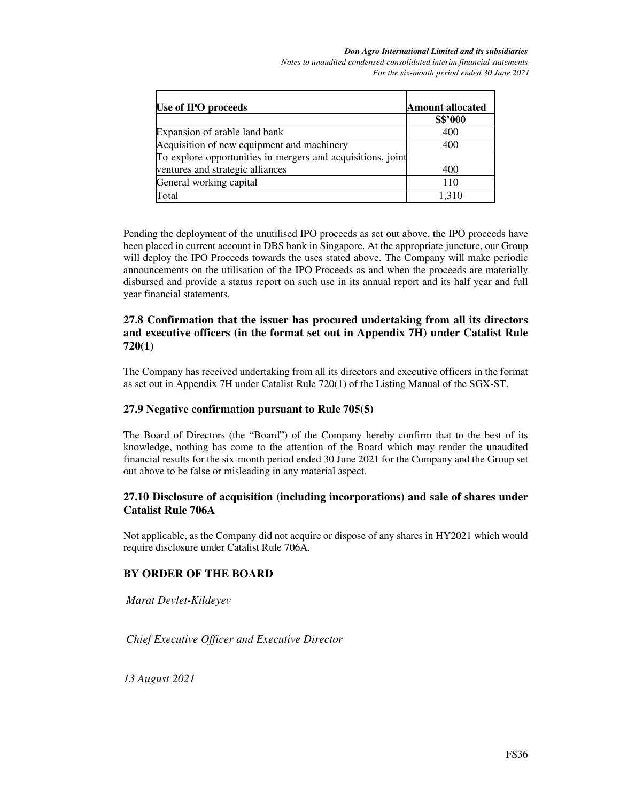*Notes to unaudited condensed consolidated interim financial statements For the six-month period ended 30 June 2021* 

| Use of IPO proceeds                                         | <b>Amount allocated</b> |
|-------------------------------------------------------------|-------------------------|
|                                                             | S\$'000                 |
| Expansion of arable land bank                               | 400                     |
| Acquisition of new equipment and machinery                  | 400                     |
| To explore opportunities in mergers and acquisitions, joint |                         |
| ventures and strategic alliances                            | 400                     |
| General working capital                                     | 110                     |
| Total                                                       | 1.310                   |

Pending the deployment of the unutilised IPO proceeds as set out above, the IPO proceeds have been placed in current account in DBS bank in Singapore. At the appropriate juncture, our Group will deploy the IPO Proceeds towards the uses stated above. The Company will make periodic announcements on the utilisation of the IPO Proceeds as and when the proceeds are materially disbursed and provide a status report on such use in its annual report and its half year and full year financial statements.

### **27.8 Confirmation that the issuer has procured undertaking from all its directors and executive officers (in the format set out in Appendix 7H) under Catalist Rule 720(1)**

The Company has received undertaking from all its directors and executive officers in the format as set out in Appendix 7H under Catalist Rule 720(1) of the Listing Manual of the SGX-ST.

## **27.9 Negative confirmation pursuant to Rule 705(5)**

The Board of Directors (the "Board") of the Company hereby confirm that to the best of its knowledge, nothing has come to the attention of the Board which may render the unaudited financial results for the six-month period ended 30 June 2021 for the Company and the Group set out above to be false or misleading in any material aspect.

## **27.10 Disclosure of acquisition (including incorporations) and sale of shares under Catalist Rule 706A**

Not applicable, as the Company did not acquire or dispose of any shares in HY2021 which would require disclosure under Catalist Rule 706A.

## **BY ORDER OF THE BOARD**

*Marat Devlet-Kildeyev* 

*Chief Executive Officer and Executive Director* 

*13 August 2021*